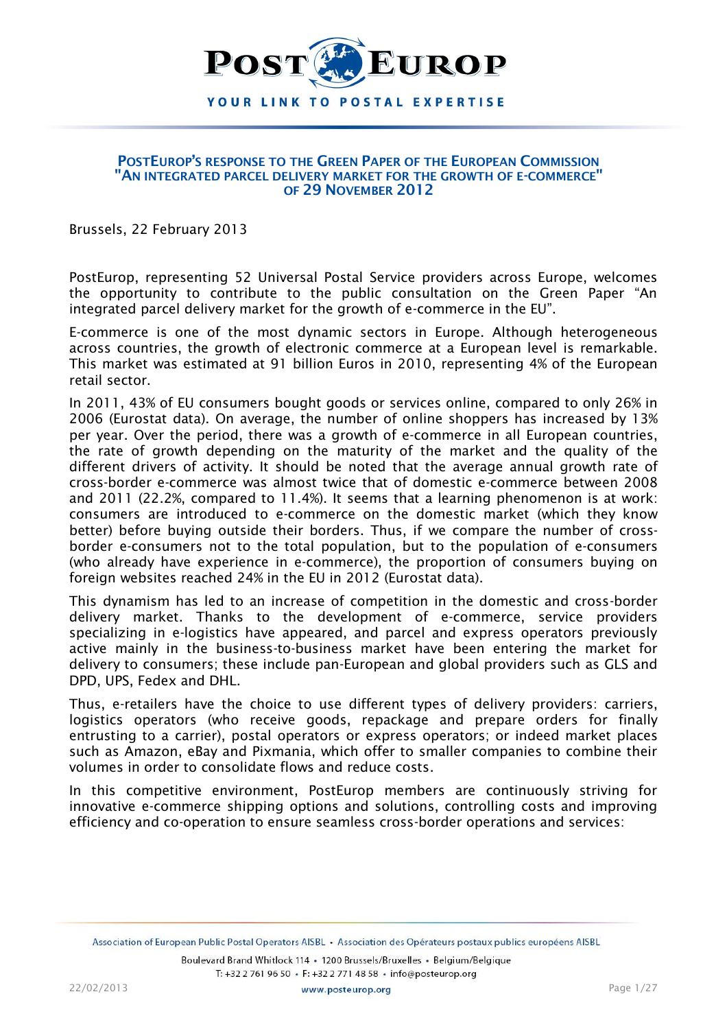

#### **POSTEUROP'S RESPONSE TO THE GREEN PAPER OF THE EUROPEAN COMMISSION "AN INTEGRATED PARCEL DELIVERY MARKET FOR THE GROWTH OF E-COMMERCE" OF 29 NOVEMBER 2012**

Brussels, 22 February 2013

PostEurop, representing 52 Universal Postal Service providers across Europe, welcomes the opportunity to contribute to the public consultation on the Green Paper "An integrated parcel delivery market for the growth of e-commerce in the EU".

E-commerce is one of the most dynamic sectors in Europe. Although heterogeneous across countries, the growth of electronic commerce at a European level is remarkable. This market was estimated at 91 billion Euros in 2010, representing 4% of the European retail sector.

In 2011, 43% of EU consumers bought goods or services online, compared to only 26% in 2006 (Eurostat data). On average, the number of online shoppers has increased by 13% per year. Over the period, there was a growth of e-commerce in all European countries, the rate of growth depending on the maturity of the market and the quality of the different drivers of activity. It should be noted that the average annual growth rate of cross-border e-commerce was almost twice that of domestic e-commerce between 2008 and 2011 (22.2%, compared to 11.4%). It seems that a learning phenomenon is at work: consumers are introduced to e-commerce on the domestic market (which they know better) before buying outside their borders. Thus, if we compare the number of crossborder e-consumers not to the total population, but to the population of e-consumers (who already have experience in e-commerce), the proportion of consumers buying on foreign websites reached 24% in the EU in 2012 (Eurostat data).

This dynamism has led to an increase of competition in the domestic and cross-border delivery market. Thanks to the development of e-commerce, service providers specializing in e-logistics have appeared, and parcel and express operators previously active mainly in the business-to-business market have been entering the market for delivery to consumers; these include pan-European and global providers such as GLS and DPD, UPS, Fedex and DHL.

Thus, e-retailers have the choice to use different types of delivery providers: carriers, logistics operators (who receive goods, repackage and prepare orders for finally entrusting to a carrier), postal operators or express operators; or indeed market places such as Amazon, eBay and Pixmania, which offer to smaller companies to combine their volumes in order to consolidate flows and reduce costs.

In this competitive environment, PostEurop members are continuously striving for innovative e-commerce shipping options and solutions, controlling costs and improving efficiency and co-operation to ensure seamless cross-border operations and services: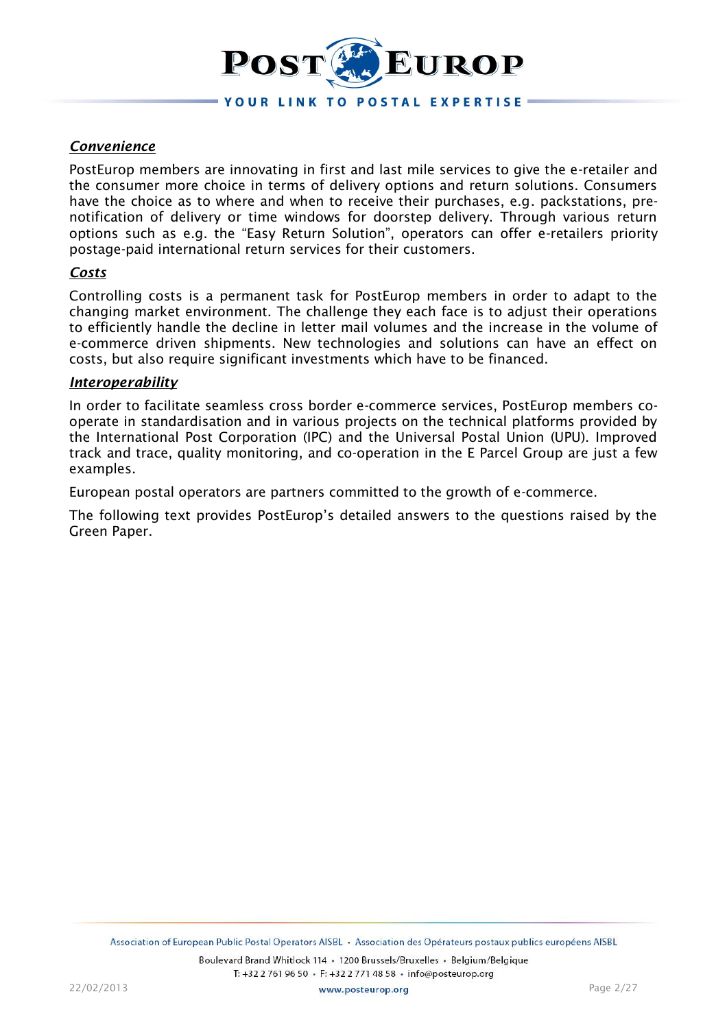

# *Convenience*

PostEurop members are innovating in first and last mile services to give the e-retailer and the consumer more choice in terms of delivery options and return solutions. Consumers have the choice as to where and when to receive their purchases, e.g. packstations, prenotification of delivery or time windows for doorstep delivery. Through various return options such as e.g. the "Easy Return Solution", operators can offer e-retailers priority postage-paid international return services for their customers.

#### *Costs*

Controlling costs is a permanent task for PostEurop members in order to adapt to the changing market environment. The challenge they each face is to adjust their operations to efficiently handle the decline in letter mail volumes and the increase in the volume of e-commerce driven shipments. New technologies and solutions can have an effect on costs, but also require significant investments which have to be financed.

#### *Interoperability*

In order to facilitate seamless cross border e-commerce services, PostEurop members cooperate in standardisation and in various projects on the technical platforms provided by the International Post Corporation (IPC) and the Universal Postal Union (UPU). Improved track and trace, quality monitoring, and co-operation in the E Parcel Group are just a few examples.

European postal operators are partners committed to the growth of e-commerce.

The following text provides PostEurop's detailed answers to the questions raised by the Green Paper.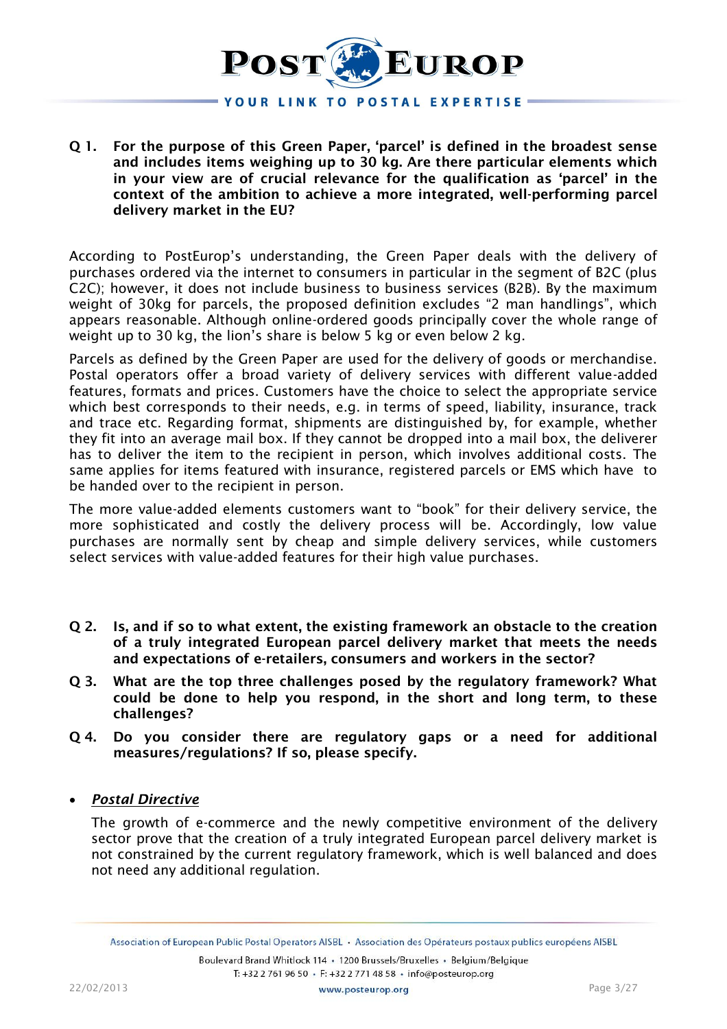

**Q 1. For the purpose of this Green Paper, 'parcel' is defined in the broadest sense and includes items weighing up to 30 kg. Are there particular elements which in your view are of crucial relevance for the qualification as 'parcel' in the context of the ambition to achieve a more integrated, well-performing parcel delivery market in the EU?**

According to PostEurop's understanding, the Green Paper deals with the delivery of purchases ordered via the internet to consumers in particular in the segment of B2C (plus C2C); however, it does not include business to business services (B2B). By the maximum weight of 30kg for parcels, the proposed definition excludes "2 man handlings", which appears reasonable. Although online-ordered goods principally cover the whole range of weight up to 30 kg, the lion's share is below 5 kg or even below 2 kg.

Parcels as defined by the Green Paper are used for the delivery of goods or merchandise. Postal operators offer a broad variety of delivery services with different value-added features, formats and prices. Customers have the choice to select the appropriate service which best corresponds to their needs, e.g. in terms of speed, liability, insurance, track and trace etc. Regarding format, shipments are distinguished by, for example, whether they fit into an average mail box. If they cannot be dropped into a mail box, the deliverer has to deliver the item to the recipient in person, which involves additional costs. The same applies for items featured with insurance, registered parcels or EMS which have to be handed over to the recipient in person.

The more value-added elements customers want to "book" for their delivery service, the more sophisticated and costly the delivery process will be. Accordingly, low value purchases are normally sent by cheap and simple delivery services, while customers select services with value-added features for their high value purchases.

- **Q 2. Is, and if so to what extent, the existing framework an obstacle to the creation of a truly integrated European parcel delivery market that meets the needs and expectations of e-retailers, consumers and workers in the sector?**
- **Q 3. What are the top three challenges posed by the regulatory framework? What could be done to help you respond, in the short and long term, to these challenges?**
- **Q 4. Do you consider there are regulatory gaps or a need for additional measures/regulations? If so, please specify.**

## *Postal Directive*

The growth of e-commerce and the newly competitive environment of the delivery sector prove that the creation of a truly integrated European parcel delivery market is not constrained by the current regulatory framework, which is well balanced and does not need any additional regulation.

Association of European Public Postal Operators AISBL . Association des Opérateurs postaux publics européens AISBL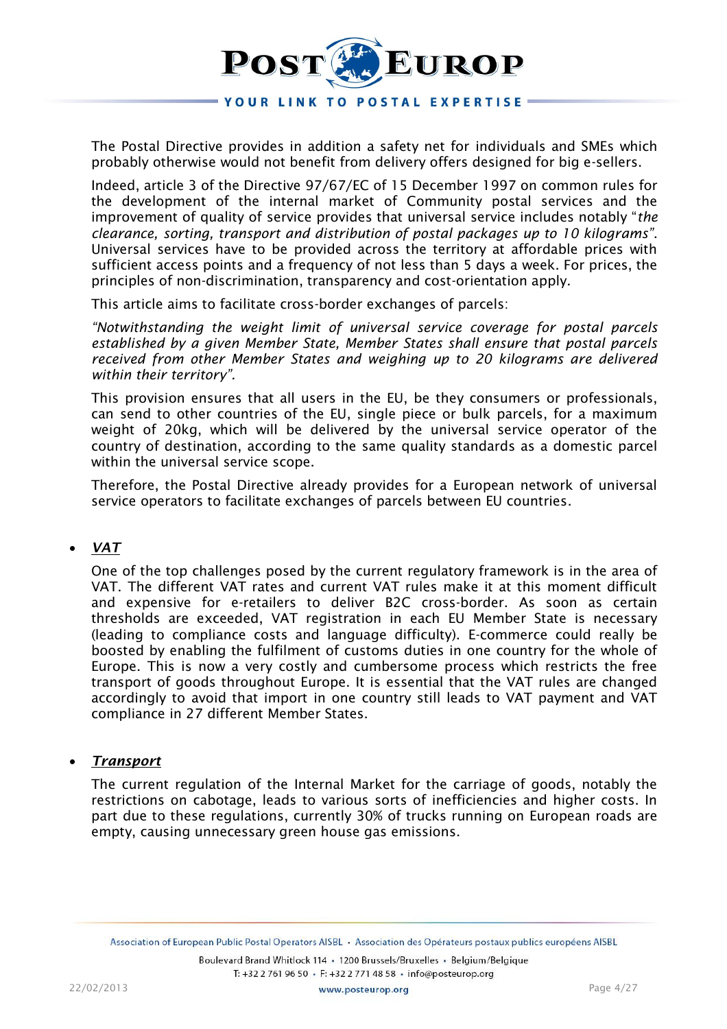

The Postal Directive provides in addition a safety net for individuals and SMEs which probably otherwise would not benefit from delivery offers designed for big e-sellers.

Indeed, article 3 of the Directive 97/67/EC of 15 December 1997 on common rules for the development of the internal market of Community postal services and the improvement of quality of service provides that universal service includes notably "*the clearance, sorting, transport and distribution of postal packages up to 10 kilograms"*. Universal services have to be provided across the territory at affordable prices with sufficient access points and a frequency of not less than 5 days a week. For prices, the principles of non-discrimination, transparency and cost-orientation apply.

This article aims to facilitate cross-border exchanges of parcels:

*"Notwithstanding the weight limit of universal service coverage for postal parcels established by a given Member State, Member States shall ensure that postal parcels received from other Member States and weighing up to 20 kilograms are delivered within their territory".*

This provision ensures that all users in the EU, be they consumers or professionals, can send to other countries of the EU, single piece or bulk parcels, for a maximum weight of 20kg, which will be delivered by the universal service operator of the country of destination, according to the same quality standards as a domestic parcel within the universal service scope.

Therefore, the Postal Directive already provides for a European network of universal service operators to facilitate exchanges of parcels between EU countries.

## *VAT*

One of the top challenges posed by the current regulatory framework is in the area of VAT. The different VAT rates and current VAT rules make it at this moment difficult and expensive for e-retailers to deliver B2C cross-border. As soon as certain thresholds are exceeded, VAT registration in each EU Member State is necessary (leading to compliance costs and language difficulty). E-commerce could really be boosted by enabling the fulfilment of customs duties in one country for the whole of Europe. This is now a very costly and cumbersome process which restricts the free transport of goods throughout Europe. It is essential that the VAT rules are changed accordingly to avoid that import in one country still leads to VAT payment and VAT compliance in 27 different Member States.

## *Transport*

The current regulation of the Internal Market for the carriage of goods, notably the restrictions on cabotage, leads to various sorts of inefficiencies and higher costs. In part due to these regulations, currently 30% of trucks running on European roads are empty, causing unnecessary green house gas emissions.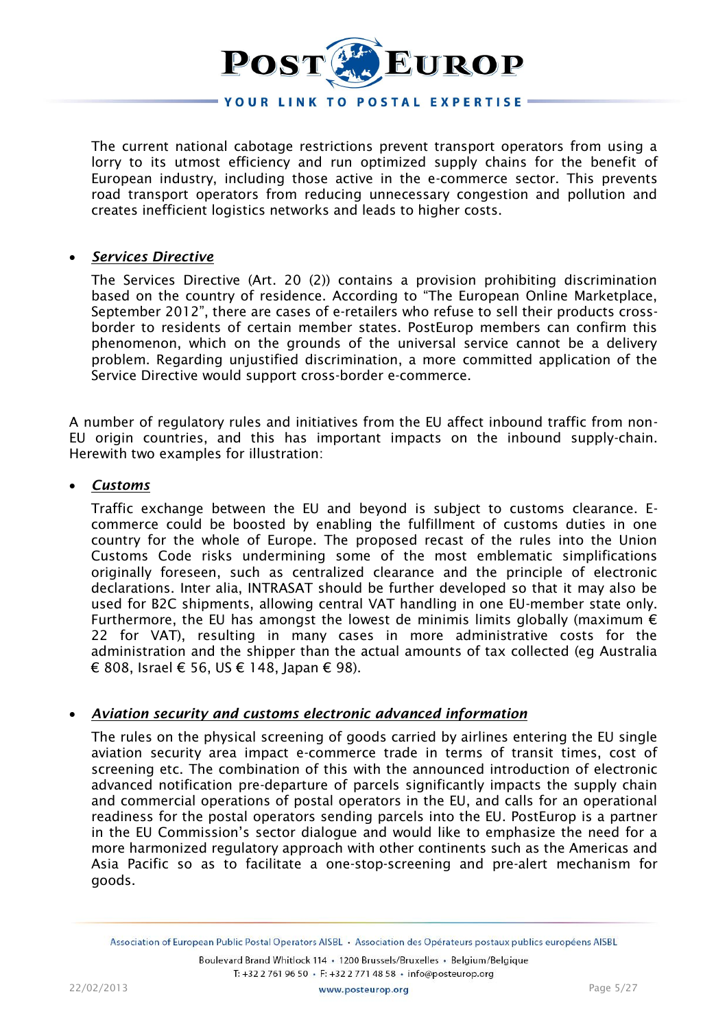

The current national cabotage restrictions prevent transport operators from using a lorry to its utmost efficiency and run optimized supply chains for the benefit of European industry, including those active in the e-commerce sector. This prevents road transport operators from reducing unnecessary congestion and pollution and creates inefficient logistics networks and leads to higher costs.

## *Services Directive*

The Services Directive (Art. 20 (2)) contains a provision prohibiting discrimination based on the country of residence. According to "The European Online Marketplace, September 2012", there are cases of e-retailers who refuse to sell their products crossborder to residents of certain member states. PostEurop members can confirm this phenomenon, which on the grounds of the universal service cannot be a delivery problem. Regarding unjustified discrimination, a more committed application of the Service Directive would support cross-border e-commerce.

A number of regulatory rules and initiatives from the EU affect inbound traffic from non-EU origin countries, and this has important impacts on the inbound supply-chain. Herewith two examples for illustration:

## *Customs*

Traffic exchange between the EU and beyond is subject to customs clearance. Ecommerce could be boosted by enabling the fulfillment of customs duties in one country for the whole of Europe. The proposed recast of the rules into the Union Customs Code risks undermining some of the most emblematic simplifications originally foreseen, such as centralized clearance and the principle of electronic declarations. Inter alia, INTRASAT should be further developed so that it may also be used for B2C shipments, allowing central VAT handling in one EU-member state only. Furthermore, the EU has amongst the lowest de minimis limits globally (maximum  $\epsilon$ 22 for VAT), resulting in many cases in more administrative costs for the administration and the shipper than the actual amounts of tax collected (eg Australia € 808, Israel € 56, US € 148, Japan € 98).

## *Aviation security and customs electronic advanced information*

The rules on the physical screening of goods carried by airlines entering the EU single aviation security area impact e-commerce trade in terms of transit times, cost of screening etc. The combination of this with the announced introduction of electronic advanced notification pre-departure of parcels significantly impacts the supply chain and commercial operations of postal operators in the EU, and calls for an operational readiness for the postal operators sending parcels into the EU. PostEurop is a partner in the EU Commission's sector dialogue and would like to emphasize the need for a more harmonized regulatory approach with other continents such as the Americas and Asia Pacific so as to facilitate a one-stop-screening and pre-alert mechanism for goods.

Association of European Public Postal Operators AISBL . Association des Opérateurs postaux publics européens AISBL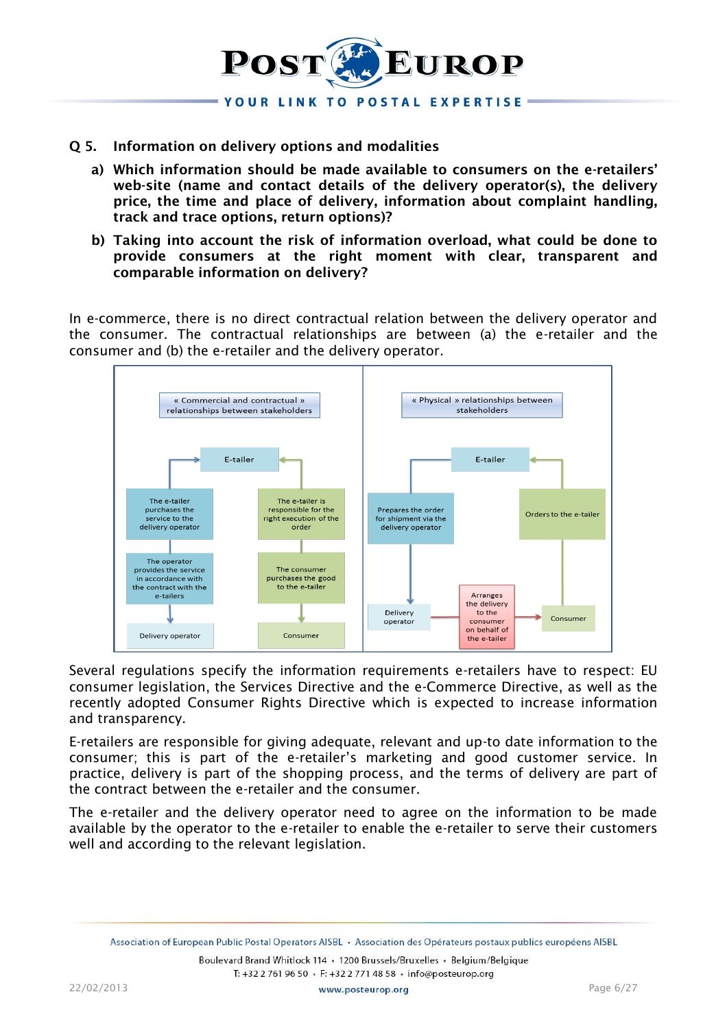

# **Q 5. Information on delivery options and modalities**

- **a) Which information should be made available to consumers on the e-retailers' web-site (name and contact details of the delivery operator(s), the delivery price, the time and place of delivery, information about complaint handling, track and trace options, return options)?**
- **b) Taking into account the risk of information overload, what could be done to provide consumers at the right moment with clear, transparent and comparable information on delivery?**

In e-commerce, there is no direct contractual relation between the delivery operator and the consumer. The contractual relationships are between (a) the e-retailer and the consumer and (b) the e-retailer and the delivery operator.



Several regulations specify the information requirements e-retailers have to respect: EU consumer legislation, the Services Directive and the e-Commerce Directive, as well as the recently adopted Consumer Rights Directive which is expected to increase information and transparency.

E-retailers are responsible for giving adequate, relevant and up-to date information to the consumer; this is part of the e-retailer's marketing and good customer service. In practice, delivery is part of the shopping process, and the terms of delivery are part of the contract between the e-retailer and the consumer.

The e-retailer and the delivery operator need to agree on the information to be made available by the operator to the e-retailer to enable the e-retailer to serve their customers well and according to the relevant legislation.

Association of European Public Postal Operators AISBL · Association des Opérateurs postaux publics européens AISBL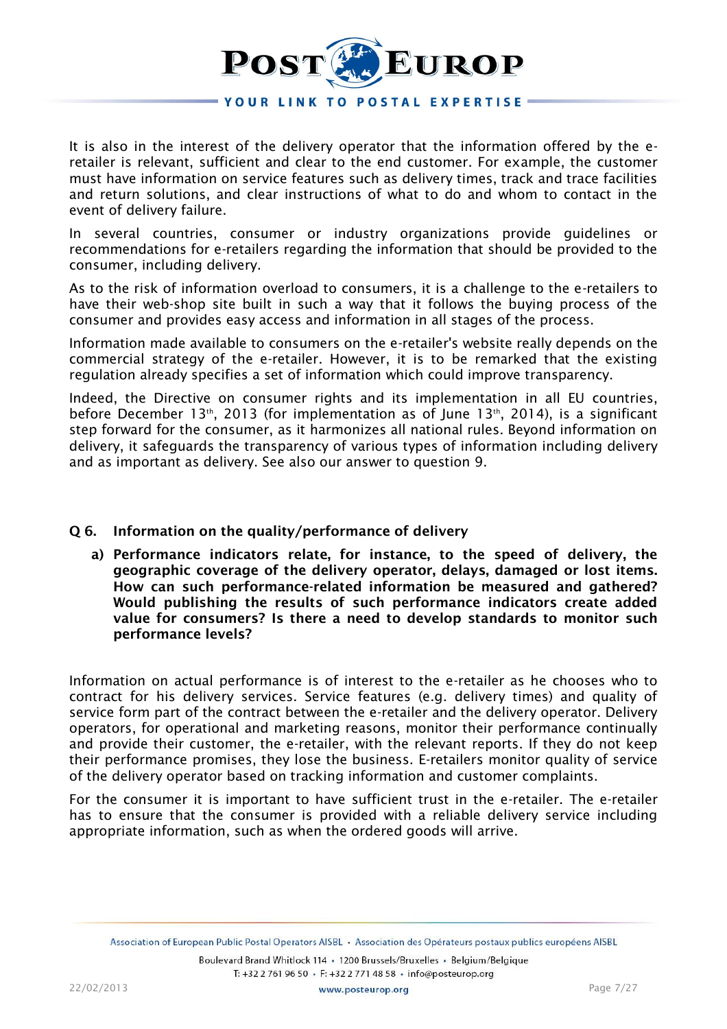

It is also in the interest of the delivery operator that the information offered by the eretailer is relevant, sufficient and clear to the end customer. For example, the customer must have information on service features such as delivery times, track and trace facilities and return solutions, and clear instructions of what to do and whom to contact in the event of delivery failure.

In several countries, consumer or industry organizations provide guidelines or recommendations for e-retailers regarding the information that should be provided to the consumer, including delivery.

As to the risk of information overload to consumers, it is a challenge to the e-retailers to have their web-shop site built in such a way that it follows the buying process of the consumer and provides easy access and information in all stages of the process.

Information made available to consumers on the e-retailer's website really depends on the commercial strategy of the e-retailer. However, it is to be remarked that the existing regulation already specifies a set of information which could improve transparency.

Indeed, the Directive on consumer rights and its implementation in all EU countries, before December 13<sup>th</sup>, 2013 (for implementation as of June 13<sup>th</sup>, 2014), is a significant step forward for the consumer, as it harmonizes all national rules. Beyond information on delivery, it safeguards the transparency of various types of information including delivery and as important as delivery. See also our answer to question 9.

## **Q 6. Information on the quality/performance of delivery**

**a) Performance indicators relate, for instance, to the speed of delivery, the geographic coverage of the delivery operator, delays, damaged or lost items. How can such performance-related information be measured and gathered? Would publishing the results of such performance indicators create added value for consumers? Is there a need to develop standards to monitor such performance levels?**

Information on actual performance is of interest to the e-retailer as he chooses who to contract for his delivery services. Service features (e.g. delivery times) and quality of service form part of the contract between the e-retailer and the delivery operator. Delivery operators, for operational and marketing reasons, monitor their performance continually and provide their customer, the e-retailer, with the relevant reports. If they do not keep their performance promises, they lose the business. E-retailers monitor quality of service of the delivery operator based on tracking information and customer complaints.

For the consumer it is important to have sufficient trust in the e-retailer. The e-retailer has to ensure that the consumer is provided with a reliable delivery service including appropriate information, such as when the ordered goods will arrive.

Association of European Public Postal Operators AISBL · Association des Opérateurs postaux publics européens AISBL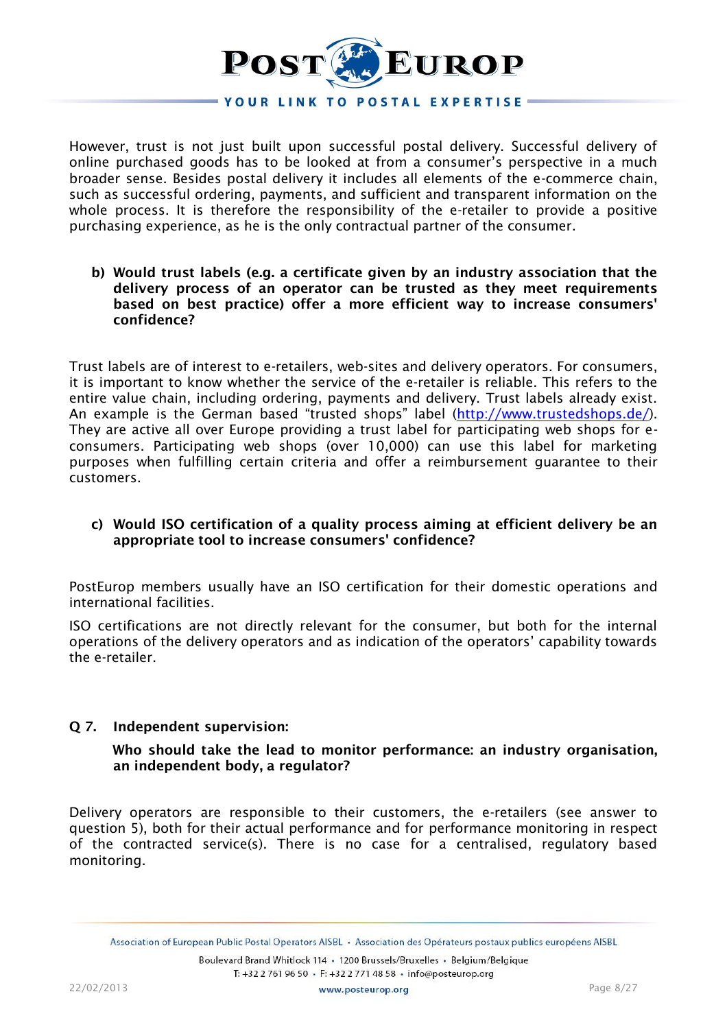

However, trust is not just built upon successful postal delivery. Successful delivery of online purchased goods has to be looked at from a consumer's perspective in a much broader sense. Besides postal delivery it includes all elements of the e-commerce chain, such as successful ordering, payments, and sufficient and transparent information on the whole process. It is therefore the responsibility of the e-retailer to provide a positive purchasing experience, as he is the only contractual partner of the consumer.

#### **b) Would trust labels (e.g. a certificate given by an industry association that the delivery process of an operator can be trusted as they meet requirements based on best practice) offer a more efficient way to increase consumers' confidence?**

Trust labels are of interest to e-retailers, web-sites and delivery operators. For consumers, it is important to know whether the service of the e-retailer is reliable. This refers to the entire value chain, including ordering, payments and delivery. Trust labels already exist. An example is the German based "trusted shops" label ([http://www.trustedshops.de/\)](http://www.trustedshops.de/). They are active all over Europe providing a trust label for participating web shops for econsumers. Participating web shops (over 10,000) can use this label for marketing purposes when fulfilling certain criteria and offer a reimbursement guarantee to their customers.

# **c) Would ISO certification of a quality process aiming at efficient delivery be an appropriate tool to increase consumers' confidence?**

PostEurop members usually have an ISO certification for their domestic operations and international facilities.

ISO certifications are not directly relevant for the consumer, but both for the internal operations of the delivery operators and as indication of the operators' capability towards the e-retailer.

## **Q 7. Independent supervision:**

**Who should take the lead to monitor performance: an industry organisation, an independent body, a regulator?**

Delivery operators are responsible to their customers, the e-retailers (see answer to question 5), both for their actual performance and for performance monitoring in respect of the contracted service(s). There is no case for a centralised, regulatory based monitoring.

Association of European Public Postal Operators AISBL . Association des Opérateurs postaux publics européens AISBL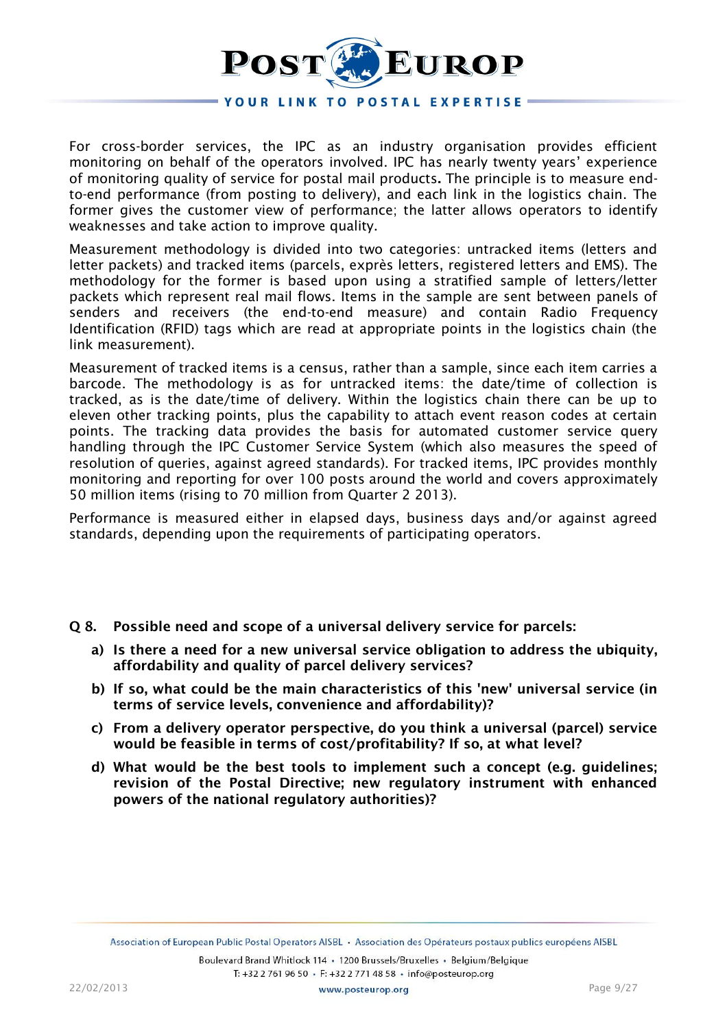

For cross-border services, the IPC as an industry organisation provides efficient monitoring on behalf of the operators involved. IPC has nearly twenty years' experience of monitoring quality of service for postal mail products**.** The principle is to measure endto-end performance (from posting to delivery), and each link in the logistics chain. The former gives the customer view of performance; the latter allows operators to identify weaknesses and take action to improve quality.

Measurement methodology is divided into two categories: untracked items (letters and letter packets) and tracked items (parcels, exprès letters, registered letters and EMS). The methodology for the former is based upon using a stratified sample of letters/letter packets which represent real mail flows. Items in the sample are sent between panels of senders and receivers (the end-to-end measure) and contain Radio Frequency Identification (RFID) tags which are read at appropriate points in the logistics chain (the link measurement).

Measurement of tracked items is a census, rather than a sample, since each item carries a barcode. The methodology is as for untracked items: the date/time of collection is tracked, as is the date/time of delivery. Within the logistics chain there can be up to eleven other tracking points, plus the capability to attach event reason codes at certain points. The tracking data provides the basis for automated customer service query handling through the IPC Customer Service System (which also measures the speed of resolution of queries, against agreed standards). For tracked items, IPC provides monthly monitoring and reporting for over 100 posts around the world and covers approximately 50 million items (rising to 70 million from Quarter 2 2013).

Performance is measured either in elapsed days, business days and/or against agreed standards, depending upon the requirements of participating operators.

- **Q 8. Possible need and scope of a universal delivery service for parcels:**
	- **a) Is there a need for a new universal service obligation to address the ubiquity, affordability and quality of parcel delivery services?**
	- **b) If so, what could be the main characteristics of this 'new' universal service (in terms of service levels, convenience and affordability)?**
	- **c) From a delivery operator perspective, do you think a universal (parcel) service would be feasible in terms of cost/profitability? If so, at what level?**
	- **d) What would be the best tools to implement such a concept (e.g. guidelines; revision of the Postal Directive; new regulatory instrument with enhanced powers of the national regulatory authorities)?**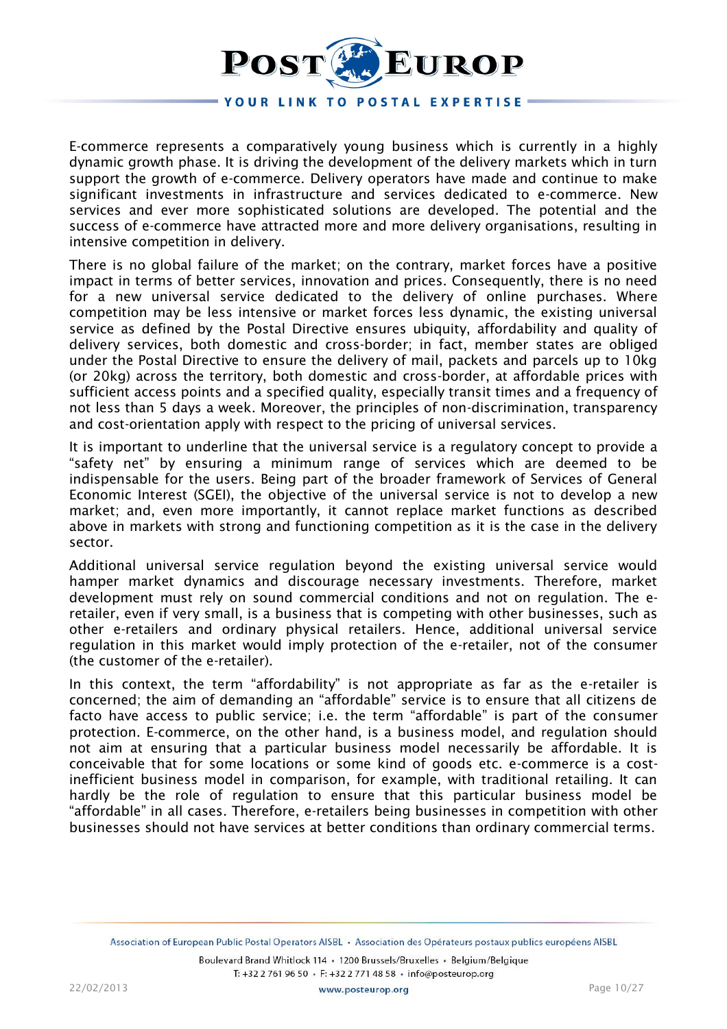

E-commerce represents a comparatively young business which is currently in a highly dynamic growth phase. It is driving the development of the delivery markets which in turn support the growth of e-commerce. Delivery operators have made and continue to make significant investments in infrastructure and services dedicated to e-commerce. New services and ever more sophisticated solutions are developed. The potential and the success of e-commerce have attracted more and more delivery organisations, resulting in intensive competition in delivery.

There is no global failure of the market; on the contrary, market forces have a positive impact in terms of better services, innovation and prices. Consequently, there is no need for a new universal service dedicated to the delivery of online purchases. Where competition may be less intensive or market forces less dynamic, the existing universal service as defined by the Postal Directive ensures ubiquity, affordability and quality of delivery services, both domestic and cross-border; in fact, member states are obliged under the Postal Directive to ensure the delivery of mail, packets and parcels up to 10kg (or 20kg) across the territory, both domestic and cross-border, at affordable prices with sufficient access points and a specified quality, especially transit times and a frequency of not less than 5 days a week. Moreover, the principles of non-discrimination, transparency and cost-orientation apply with respect to the pricing of universal services.

It is important to underline that the universal service is a regulatory concept to provide a "safety net" by ensuring a minimum range of services which are deemed to be indispensable for the users. Being part of the broader framework of Services of General Economic Interest (SGEI), the objective of the universal service is not to develop a new market; and, even more importantly, it cannot replace market functions as described above in markets with strong and functioning competition as it is the case in the delivery sector.

Additional universal service regulation beyond the existing universal service would hamper market dynamics and discourage necessary investments. Therefore, market development must rely on sound commercial conditions and not on regulation. The eretailer, even if very small, is a business that is competing with other businesses, such as other e-retailers and ordinary physical retailers. Hence, additional universal service regulation in this market would imply protection of the e-retailer, not of the consumer (the customer of the e-retailer).

In this context, the term "affordability" is not appropriate as far as the e-retailer is concerned; the aim of demanding an "affordable" service is to ensure that all citizens de facto have access to public service; i.e. the term "affordable" is part of the consumer protection. E-commerce, on the other hand, is a business model, and regulation should not aim at ensuring that a particular business model necessarily be affordable. It is conceivable that for some locations or some kind of goods etc. e-commerce is a costinefficient business model in comparison, for example, with traditional retailing. It can hardly be the role of regulation to ensure that this particular business model be "affordable" in all cases. Therefore, e-retailers being businesses in competition with other businesses should not have services at better conditions than ordinary commercial terms.

Association of European Public Postal Operators AISBL . Association des Opérateurs postaux publics européens AISBL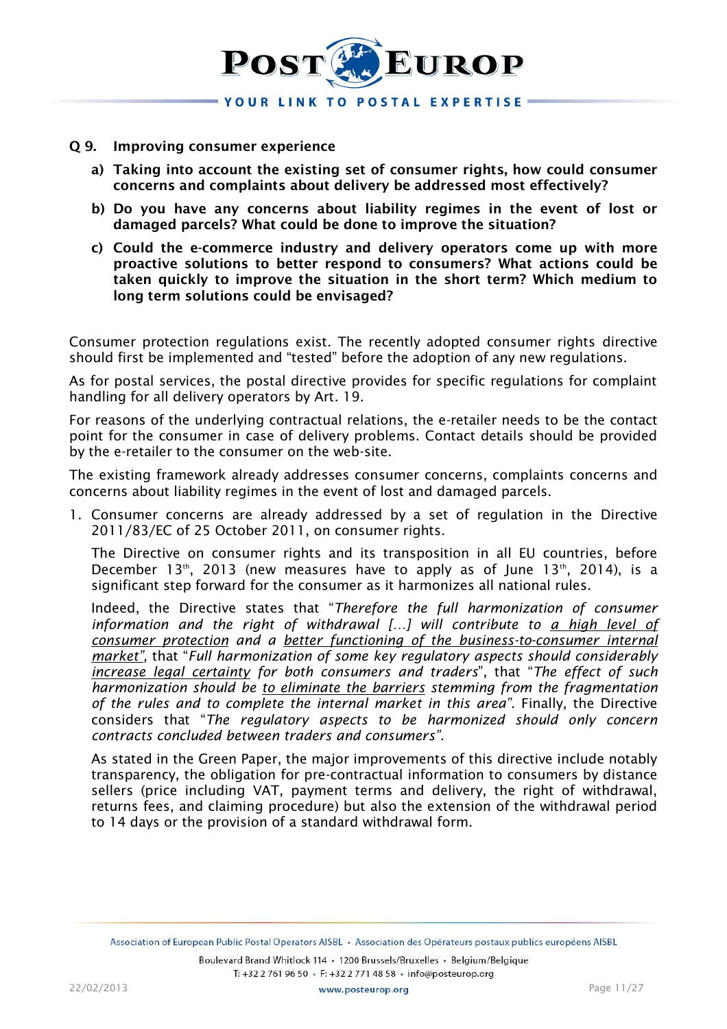

#### **Q 9. Improving consumer experience**

- **a) Taking into account the existing set of consumer rights, how could consumer concerns and complaints about delivery be addressed most effectively?**
- **b) Do you have any concerns about liability regimes in the event of lost or damaged parcels? What could be done to improve the situation?**
- **c) Could the e-commerce industry and delivery operators come up with more proactive solutions to better respond to consumers? What actions could be taken quickly to improve the situation in the short term? Which medium to long term solutions could be envisaged?**

Consumer protection regulations exist. The recently adopted consumer rights directive should first be implemented and "tested" before the adoption of any new regulations.

As for postal services, the postal directive provides for specific regulations for complaint handling for all delivery operators by Art. 19.

For reasons of the underlying contractual relations, the e-retailer needs to be the contact point for the consumer in case of delivery problems. Contact details should be provided by the e-retailer to the consumer on the web-site.

The existing framework already addresses consumer concerns, complaints concerns and concerns about liability regimes in the event of lost and damaged parcels.

1. Consumer concerns are already addressed by a set of regulation in the Directive 2011/83/EC of 25 October 2011, on consumer rights.

The Directive on consumer rights and its transposition in all EU countries, before December 13<sup>th</sup>, 2013 (new measures have to apply as of June 13<sup>th</sup>, 2014), is a significant step forward for the consumer as it harmonizes all national rules.

Indeed, the Directive states that "*Therefore the full harmonization of consumer*  information and the right of withdrawal [...] will contribute to *a high level of consumer protection and a better functioning of the business-to-consumer internal market",* that "*Full harmonization of some key regulatory aspects should considerably increase legal certainty for both consumers and traders*", that "*The effect of such harmonization should be to eliminate the barriers stemming from the fragmentation of the rules and to complete the internal market in this area".* Finally, the Directive considers that "*The regulatory aspects to be harmonized should only concern contracts concluded between traders and consumers".*

As stated in the Green Paper, the major improvements of this directive include notably transparency, the obligation for pre-contractual information to consumers by distance sellers (price including VAT, payment terms and delivery, the right of withdrawal, returns fees, and claiming procedure) but also the extension of the withdrawal period to 14 days or the provision of a standard withdrawal form.

Association of European Public Postal Operators AISBL · Association des Opérateurs postaux publics européens AISBL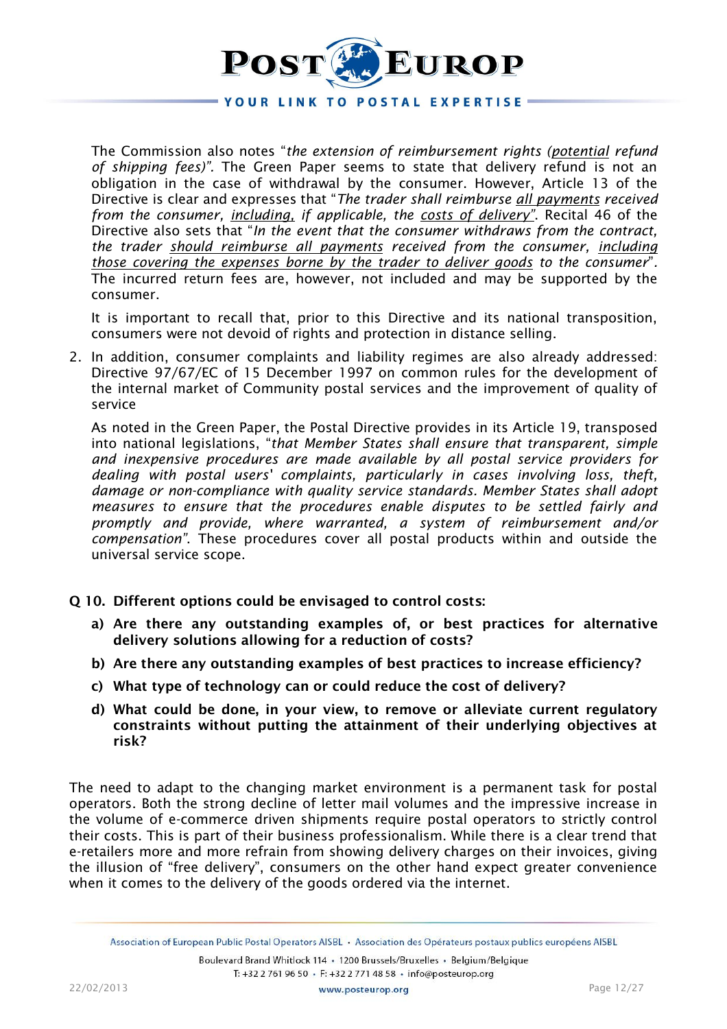# EUROP POST

# YOUR LINK TO POSTAL EXPERTISE -

The Commission also notes "*the extension of reimbursement rights (potential refund of shipping fees)".* The Green Paper seems to state that delivery refund is not an obligation in the case of withdrawal by the consumer. However, Article 13 of the Directive is clear and expresses that "*The trader shall reimburse all payments received from the consumer, including, if applicable, the costs of delivery"*. Recital 46 of the Directive also sets that "*In the event that the consumer withdraws from the contract, the trader should reimburse all payments received from the consumer, including those covering the expenses borne by the trader to deliver goods to the consumer*"*.*  The incurred return fees are, however, not included and may be supported by the consumer.

It is important to recall that, prior to this Directive and its national transposition, consumers were not devoid of rights and protection in distance selling.

2. In addition, consumer complaints and liability regimes are also already addressed: Directive 97/67/EC of 15 December 1997 on common rules for the development of the internal market of Community postal services and the improvement of quality of service

As noted in the Green Paper, the Postal Directive provides in its Article 19, transposed into national legislations, "*that Member States shall ensure that transparent, simple and inexpensive procedures are made available by all postal service providers for dealing with postal users' complaints, particularly in cases involving loss, theft, damage or non-compliance with quality service standards. Member States shall adopt measures to ensure that the procedures enable disputes to be settled fairly and promptly and provide, where warranted, a system of reimbursement and/or compensation"*. These procedures cover all postal products within and outside the universal service scope.

- **Q 10. Different options could be envisaged to control costs:**
	- **a) Are there any outstanding examples of, or best practices for alternative delivery solutions allowing for a reduction of costs?**
	- **b) Are there any outstanding examples of best practices to increase efficiency?**
	- **c) What type of technology can or could reduce the cost of delivery?**
	- **d) What could be done, in your view, to remove or alleviate current regulatory constraints without putting the attainment of their underlying objectives at risk?**

The need to adapt to the changing market environment is a permanent task for postal operators. Both the strong decline of letter mail volumes and the impressive increase in the volume of e-commerce driven shipments require postal operators to strictly control their costs. This is part of their business professionalism. While there is a clear trend that e-retailers more and more refrain from showing delivery charges on their invoices, giving the illusion of "free delivery", consumers on the other hand expect greater convenience when it comes to the delivery of the goods ordered via the internet.

Association of European Public Postal Operators AISBL · Association des Opérateurs postaux publics européens AISBL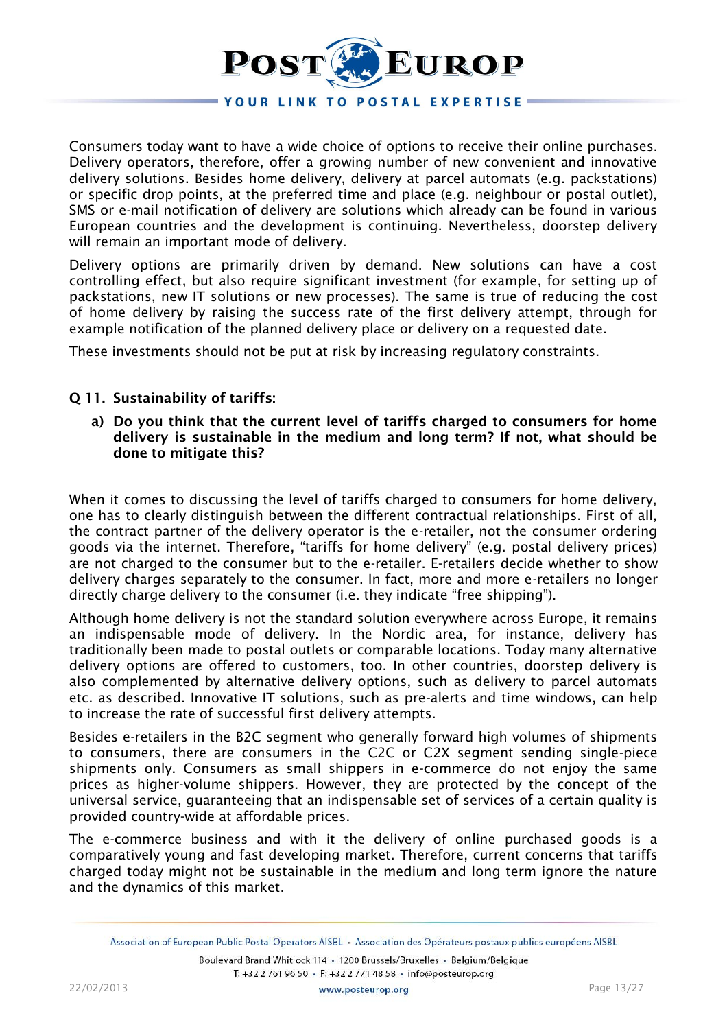

Consumers today want to have a wide choice of options to receive their online purchases. Delivery operators, therefore, offer a growing number of new convenient and innovative delivery solutions. Besides home delivery, delivery at parcel automats (e.g. packstations) or specific drop points, at the preferred time and place (e.g. neighbour or postal outlet), SMS or e-mail notification of delivery are solutions which already can be found in various European countries and the development is continuing. Nevertheless, doorstep delivery will remain an important mode of delivery.

Delivery options are primarily driven by demand. New solutions can have a cost controlling effect, but also require significant investment (for example, for setting up of packstations, new IT solutions or new processes). The same is true of reducing the cost of home delivery by raising the success rate of the first delivery attempt, through for example notification of the planned delivery place or delivery on a requested date.

These investments should not be put at risk by increasing regulatory constraints.

# **Q 11. Sustainability of tariffs:**

**a) Do you think that the current level of tariffs charged to consumers for home delivery is sustainable in the medium and long term? If not, what should be done to mitigate this?**

When it comes to discussing the level of tariffs charged to consumers for home delivery, one has to clearly distinguish between the different contractual relationships. First of all, the contract partner of the delivery operator is the e-retailer, not the consumer ordering goods via the internet. Therefore, "tariffs for home delivery" (e.g. postal delivery prices) are not charged to the consumer but to the e-retailer. E-retailers decide whether to show delivery charges separately to the consumer. In fact, more and more e-retailers no longer directly charge delivery to the consumer (i.e. they indicate "free shipping").

Although home delivery is not the standard solution everywhere across Europe, it remains an indispensable mode of delivery. In the Nordic area, for instance, delivery has traditionally been made to postal outlets or comparable locations. Today many alternative delivery options are offered to customers, too. In other countries, doorstep delivery is also complemented by alternative delivery options, such as delivery to parcel automats etc. as described. Innovative IT solutions, such as pre-alerts and time windows, can help to increase the rate of successful first delivery attempts.

Besides e-retailers in the B2C segment who generally forward high volumes of shipments to consumers, there are consumers in the C2C or C2X segment sending single-piece shipments only. Consumers as small shippers in e-commerce do not enjoy the same prices as higher-volume shippers. However, they are protected by the concept of the universal service, guaranteeing that an indispensable set of services of a certain quality is provided country-wide at affordable prices.

The e-commerce business and with it the delivery of online purchased goods is a comparatively young and fast developing market. Therefore, current concerns that tariffs charged today might not be sustainable in the medium and long term ignore the nature and the dynamics of this market.

Association of European Public Postal Operators AISBL · Association des Opérateurs postaux publics européens AISBL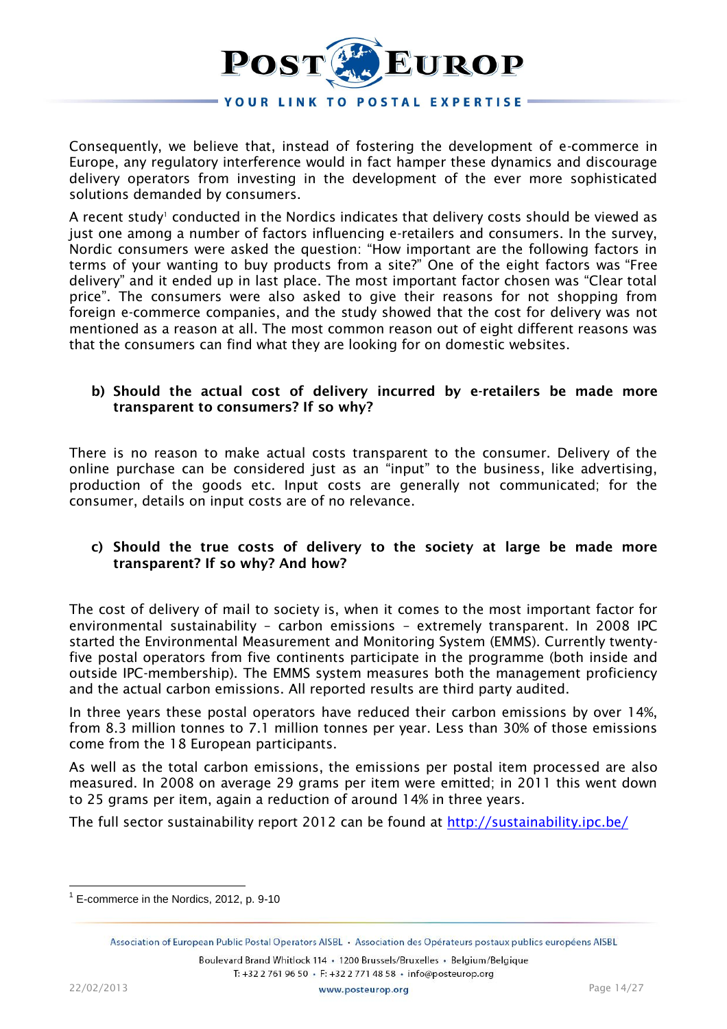

Consequently, we believe that, instead of fostering the development of e-commerce in Europe, any regulatory interference would in fact hamper these dynamics and discourage delivery operators from investing in the development of the ever more sophisticated solutions demanded by consumers.

A recent study<sup>1</sup> conducted in the Nordics indicates that delivery costs should be viewed as just one among a number of factors influencing e-retailers and consumers. In the survey, Nordic consumers were asked the question: "How important are the following factors in terms of your wanting to buy products from a site?" One of the eight factors was "Free delivery" and it ended up in last place. The most important factor chosen was "Clear total price". The consumers were also asked to give their reasons for not shopping from foreign e-commerce companies, and the study showed that the cost for delivery was not mentioned as a reason at all. The most common reason out of eight different reasons was that the consumers can find what they are looking for on domestic websites.

## **b) Should the actual cost of delivery incurred by e-retailers be made more transparent to consumers? If so why?**

There is no reason to make actual costs transparent to the consumer. Delivery of the online purchase can be considered just as an "input" to the business, like advertising, production of the goods etc. Input costs are generally not communicated; for the consumer, details on input costs are of no relevance.

# **c) Should the true costs of delivery to the society at large be made more transparent? If so why? And how?**

The cost of delivery of mail to society is, when it comes to the most important factor for environmental sustainability – carbon emissions – extremely transparent. In 2008 IPC started the Environmental Measurement and Monitoring System (EMMS). Currently twentyfive postal operators from five continents participate in the programme (both inside and outside IPC-membership). The EMMS system measures both the management proficiency and the actual carbon emissions. All reported results are third party audited.

In three years these postal operators have reduced their carbon emissions by over 14%, from 8.3 million tonnes to 7.1 million tonnes per year. Less than 30% of those emissions come from the 18 European participants.

As well as the total carbon emissions, the emissions per postal item processed are also measured. In 2008 on average 29 grams per item were emitted; in 2011 this went down to 25 grams per item, again a reduction of around 14% in three years.

The full sector sustainability report 2012 can be found at<http://sustainability.ipc.be/>

Boulevard Brand Whitlock 114 · 1200 Brussels/Bruxelles · Belgium/Belgique T: +32 2 761 96 50 · F: +32 2 771 48 58 · info@posteurop.org

<sup>&</sup>lt;sup>1</sup> E-commerce in the Nordics, 2012, p. 9-10

Association of European Public Postal Operators AISBL . Association des Opérateurs postaux publics européens AISBL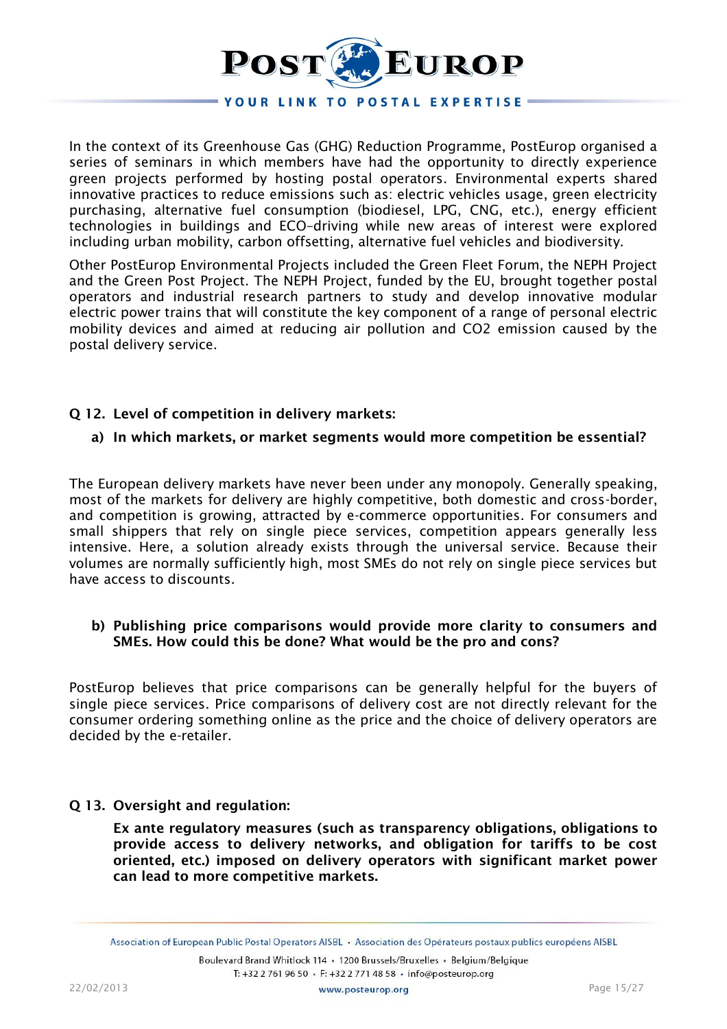

In the context of its Greenhouse Gas (GHG) Reduction Programme, PostEurop organised a series of seminars in which members have had the opportunity to directly experience green projects performed by hosting postal operators. Environmental experts shared innovative practices to reduce emissions such as: electric vehicles usage, green electricity purchasing, alternative fuel consumption (biodiesel, LPG, CNG, etc.), energy efficient technologies in buildings and ECO–driving while new areas of interest were explored including urban mobility, carbon offsetting, alternative fuel vehicles and biodiversity.

Other PostEurop Environmental Projects included the Green Fleet Forum, the NEPH Project and the Green Post Project. The NEPH Project, funded by the EU, brought together postal operators and industrial research partners to study and develop innovative modular electric power trains that will constitute the key component of a range of personal electric mobility devices and aimed at reducing air pollution and CO2 emission caused by the postal delivery service.

# **Q 12. Level of competition in delivery markets:**

## **a) In which markets, or market segments would more competition be essential?**

The European delivery markets have never been under any monopoly. Generally speaking, most of the markets for delivery are highly competitive, both domestic and cross-border, and competition is growing, attracted by e-commerce opportunities. For consumers and small shippers that rely on single piece services, competition appears generally less intensive. Here, a solution already exists through the universal service. Because their volumes are normally sufficiently high, most SMEs do not rely on single piece services but have access to discounts.

## **b) Publishing price comparisons would provide more clarity to consumers and SMEs. How could this be done? What would be the pro and cons?**

PostEurop believes that price comparisons can be generally helpful for the buyers of single piece services. Price comparisons of delivery cost are not directly relevant for the consumer ordering something online as the price and the choice of delivery operators are decided by the e-retailer.

## **Q 13. Oversight and regulation:**

**Ex ante regulatory measures (such as transparency obligations, obligations to provide access to delivery networks, and obligation for tariffs to be cost oriented, etc.) imposed on delivery operators with significant market power can lead to more competitive markets.**

Association of European Public Postal Operators AISBL · Association des Opérateurs postaux publics européens AISBL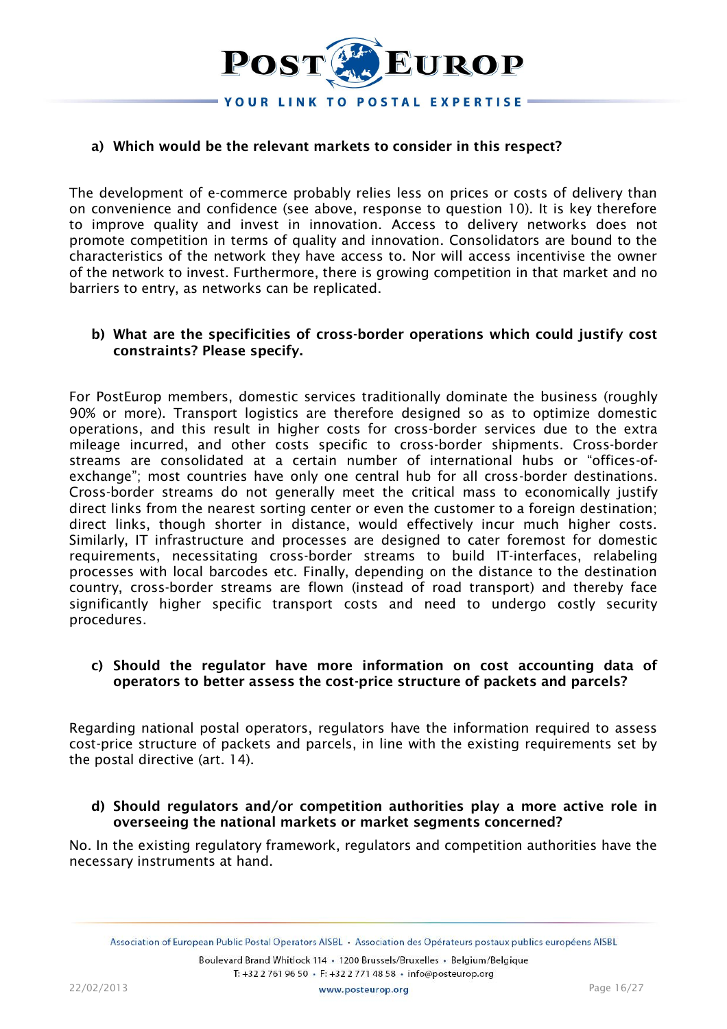

## **a) Which would be the relevant markets to consider in this respect?**

The development of e-commerce probably relies less on prices or costs of delivery than on convenience and confidence (see above, response to question 10). It is key therefore to improve quality and invest in innovation. Access to delivery networks does not promote competition in terms of quality and innovation. Consolidators are bound to the characteristics of the network they have access to. Nor will access incentivise the owner of the network to invest. Furthermore, there is growing competition in that market and no barriers to entry, as networks can be replicated.

# **b) What are the specificities of cross-border operations which could justify cost constraints? Please specify.**

For PostEurop members, domestic services traditionally dominate the business (roughly 90% or more). Transport logistics are therefore designed so as to optimize domestic operations, and this result in higher costs for cross-border services due to the extra mileage incurred, and other costs specific to cross-border shipments. Cross-border streams are consolidated at a certain number of international hubs or "offices-ofexchange"; most countries have only one central hub for all cross-border destinations. Cross-border streams do not generally meet the critical mass to economically justify direct links from the nearest sorting center or even the customer to a foreign destination; direct links, though shorter in distance, would effectively incur much higher costs. Similarly, IT infrastructure and processes are designed to cater foremost for domestic requirements, necessitating cross-border streams to build IT-interfaces, relabeling processes with local barcodes etc. Finally, depending on the distance to the destination country, cross-border streams are flown (instead of road transport) and thereby face significantly higher specific transport costs and need to undergo costly security procedures.

#### **c) Should the regulator have more information on cost accounting data of operators to better assess the cost-price structure of packets and parcels?**

Regarding national postal operators, regulators have the information required to assess cost-price structure of packets and parcels, in line with the existing requirements set by the postal directive (art. 14).

# **d) Should regulators and/or competition authorities play a more active role in overseeing the national markets or market segments concerned?**

No. In the existing regulatory framework, regulators and competition authorities have the necessary instruments at hand.

Association of European Public Postal Operators AISBL . Association des Opérateurs postaux publics européens AISBL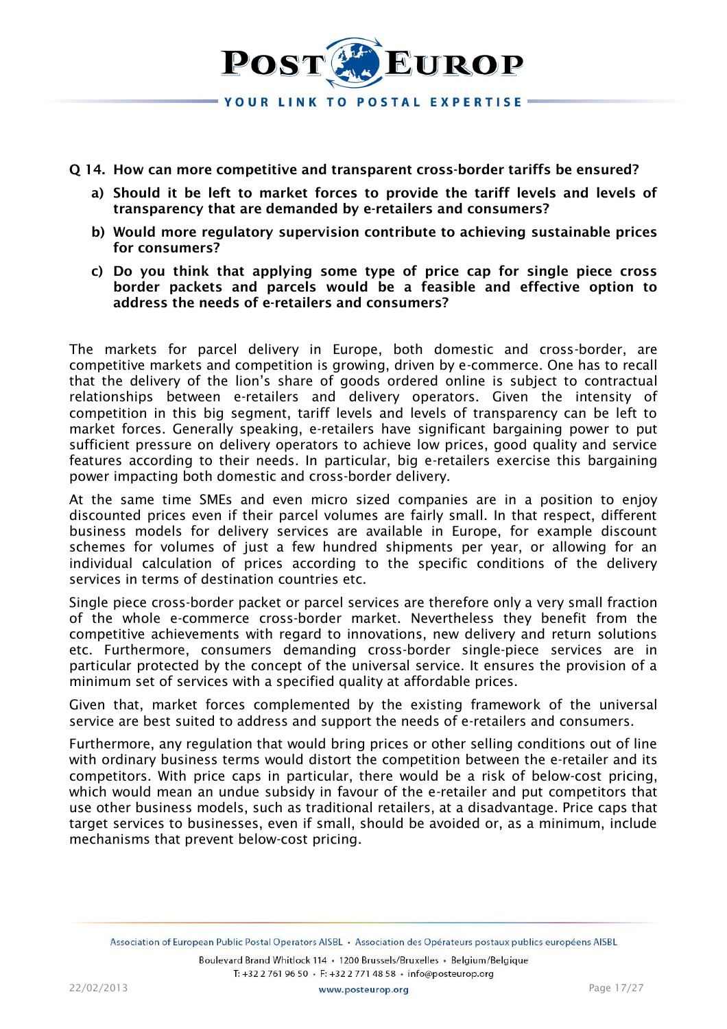

#### **Q 14. How can more competitive and transparent cross-border tariffs be ensured?**

- **a) Should it be left to market forces to provide the tariff levels and levels of transparency that are demanded by e-retailers and consumers?**
- **b) Would more regulatory supervision contribute to achieving sustainable prices for consumers?**
- **c) Do you think that applying some type of price cap for single piece cross border packets and parcels would be a feasible and effective option to address the needs of e-retailers and consumers?**

The markets for parcel delivery in Europe, both domestic and cross-border, are competitive markets and competition is growing, driven by e-commerce. One has to recall that the delivery of the lion's share of goods ordered online is subject to contractual relationships between e-retailers and delivery operators. Given the intensity of competition in this big segment, tariff levels and levels of transparency can be left to market forces. Generally speaking, e-retailers have significant bargaining power to put sufficient pressure on delivery operators to achieve low prices, good quality and service features according to their needs. In particular, big e-retailers exercise this bargaining power impacting both domestic and cross-border delivery.

At the same time SMEs and even micro sized companies are in a position to enjoy discounted prices even if their parcel volumes are fairly small. In that respect, different business models for delivery services are available in Europe, for example discount schemes for volumes of just a few hundred shipments per year, or allowing for an individual calculation of prices according to the specific conditions of the delivery services in terms of destination countries etc.

Single piece cross-border packet or parcel services are therefore only a very small fraction of the whole e-commerce cross-border market. Nevertheless they benefit from the competitive achievements with regard to innovations, new delivery and return solutions etc. Furthermore, consumers demanding cross-border single-piece services are in particular protected by the concept of the universal service. It ensures the provision of a minimum set of services with a specified quality at affordable prices.

Given that, market forces complemented by the existing framework of the universal service are best suited to address and support the needs of e-retailers and consumers.

Furthermore, any regulation that would bring prices or other selling conditions out of line with ordinary business terms would distort the competition between the e-retailer and its competitors. With price caps in particular, there would be a risk of below-cost pricing, which would mean an undue subsidy in favour of the e-retailer and put competitors that use other business models, such as traditional retailers, at a disadvantage. Price caps that target services to businesses, even if small, should be avoided or, as a minimum, include mechanisms that prevent below-cost pricing.

Association of European Public Postal Operators AISBL · Association des Opérateurs postaux publics européens AISBL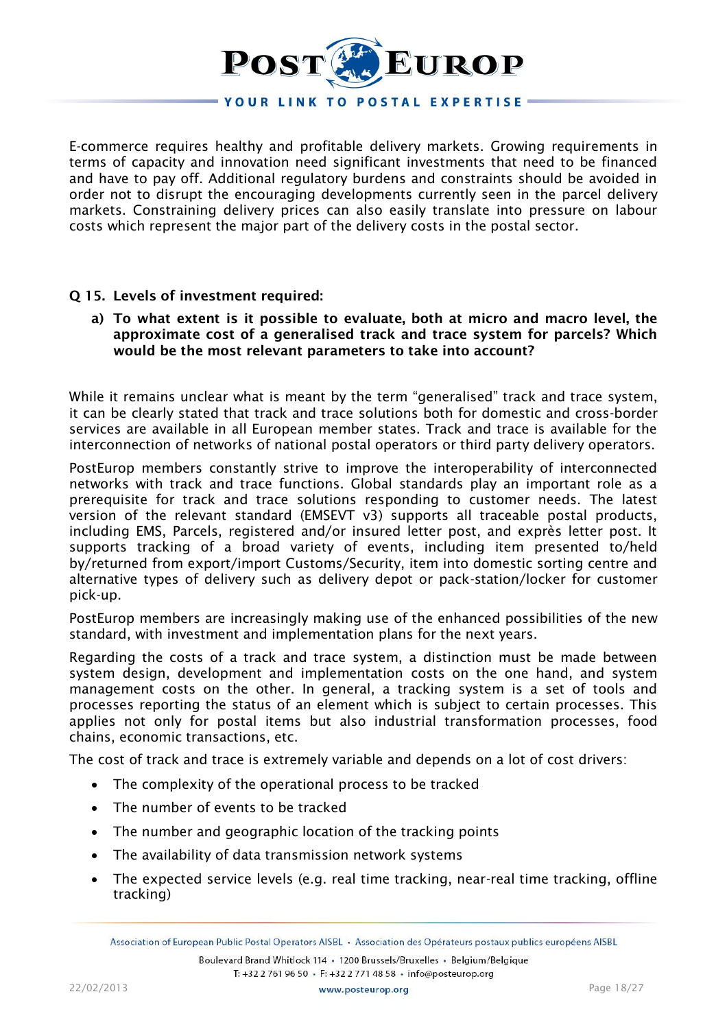

E-commerce requires healthy and profitable delivery markets. Growing requirements in terms of capacity and innovation need significant investments that need to be financed and have to pay off. Additional regulatory burdens and constraints should be avoided in order not to disrupt the encouraging developments currently seen in the parcel delivery markets. Constraining delivery prices can also easily translate into pressure on labour costs which represent the major part of the delivery costs in the postal sector.

## **Q 15. Levels of investment required:**

**a) To what extent is it possible to evaluate, both at micro and macro level, the approximate cost of a generalised track and trace system for parcels? Which would be the most relevant parameters to take into account?**

While it remains unclear what is meant by the term "generalised" track and trace system, it can be clearly stated that track and trace solutions both for domestic and cross-border services are available in all European member states. Track and trace is available for the interconnection of networks of national postal operators or third party delivery operators.

PostEurop members constantly strive to improve the interoperability of interconnected networks with track and trace functions. Global standards play an important role as a prerequisite for track and trace solutions responding to customer needs. The latest version of the relevant standard (EMSEVT v3) supports all traceable postal products, including EMS, Parcels, registered and/or insured letter post, and exprès letter post. It supports tracking of a broad variety of events, including item presented to/held by/returned from export/import Customs/Security, item into domestic sorting centre and alternative types of delivery such as delivery depot or pack-station/locker for customer pick-up.

PostEurop members are increasingly making use of the enhanced possibilities of the new standard, with investment and implementation plans for the next years.

Regarding the costs of a track and trace system, a distinction must be made between system design, development and implementation costs on the one hand, and system management costs on the other. In general, a tracking system is a set of tools and processes reporting the status of an element which is subject to certain processes. This applies not only for postal items but also industrial transformation processes, food chains, economic transactions, etc.

The cost of track and trace is extremely variable and depends on a lot of cost drivers:

- The complexity of the operational process to be tracked
- The number of events to be tracked
- The number and geographic location of the tracking points
- The availability of data transmission network systems
- The expected service levels (e.g. real time tracking, near-real time tracking, offline tracking)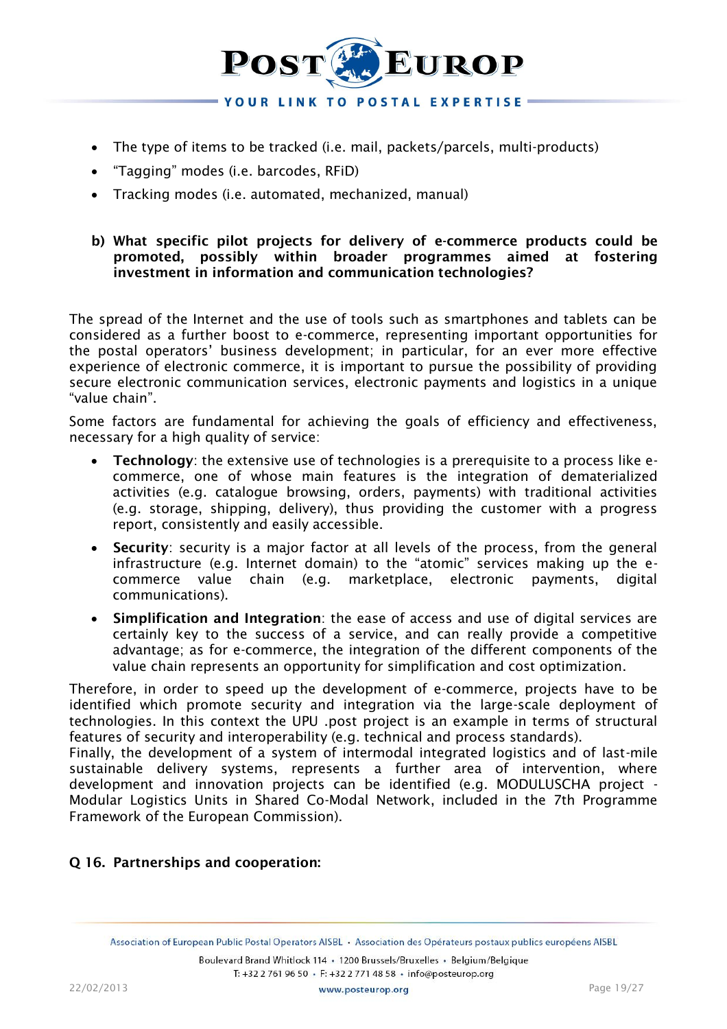

- The type of items to be tracked (i.e. mail, packets/parcels, multi-products)
- "Tagging" modes (i.e. barcodes, RFiD)
- Tracking modes (i.e. automated, mechanized, manual)

# **b) What specific pilot projects for delivery of e-commerce products could be promoted, possibly within broader programmes aimed at fostering investment in information and communication technologies?**

The spread of the Internet and the use of tools such as smartphones and tablets can be considered as a further boost to e-commerce, representing important opportunities for the postal operators' business development; in particular, for an ever more effective experience of electronic commerce, it is important to pursue the possibility of providing secure electronic communication services, electronic payments and logistics in a unique "value chain".

Some factors are fundamental for achieving the goals of efficiency and effectiveness, necessary for a high quality of service:

- **Technology**: the extensive use of technologies is a prerequisite to a process like ecommerce, one of whose main features is the integration of dematerialized activities (e.g. catalogue browsing, orders, payments) with traditional activities (e.g. storage, shipping, delivery), thus providing the customer with a progress report, consistently and easily accessible.
- **Security**: security is a major factor at all levels of the process, from the general infrastructure (e.g. Internet domain) to the "atomic" services making up the ecommerce value chain (e.g. marketplace, electronic payments, digital communications).
- **Simplification and Integration**: the ease of access and use of digital services are certainly key to the success of a service, and can really provide a competitive advantage; as for e-commerce, the integration of the different components of the value chain represents an opportunity for simplification and cost optimization.

Therefore, in order to speed up the development of e-commerce, projects have to be identified which promote security and integration via the large-scale deployment of technologies. In this context the UPU .post project is an example in terms of structural features of security and interoperability (e.g. technical and process standards).

Finally, the development of a system of intermodal integrated logistics and of last-mile sustainable delivery systems, represents a further area of intervention, where development and innovation projects can be identified (e.g. MODULUSCHA project - Modular Logistics Units in Shared Co-Modal Network, included in the 7th Programme Framework of the European Commission).

# **Q 16. Partnerships and cooperation:**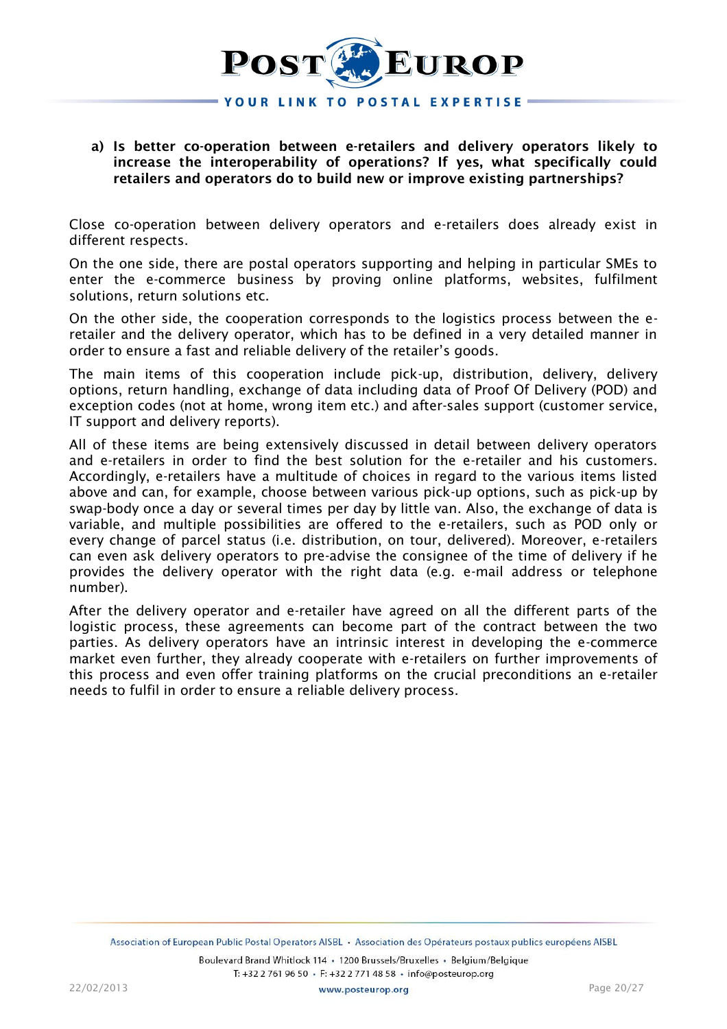

# **a) Is better co-operation between e-retailers and delivery operators likely to increase the interoperability of operations? If yes, what specifically could retailers and operators do to build new or improve existing partnerships?**

Close co-operation between delivery operators and e-retailers does already exist in different respects.

On the one side, there are postal operators supporting and helping in particular SMEs to enter the e-commerce business by proving online platforms, websites, fulfilment solutions, return solutions etc.

On the other side, the cooperation corresponds to the logistics process between the eretailer and the delivery operator, which has to be defined in a very detailed manner in order to ensure a fast and reliable delivery of the retailer's goods.

The main items of this cooperation include pick-up, distribution, delivery, delivery options, return handling, exchange of data including data of Proof Of Delivery (POD) and exception codes (not at home, wrong item etc.) and after-sales support (customer service, IT support and delivery reports).

All of these items are being extensively discussed in detail between delivery operators and e-retailers in order to find the best solution for the e-retailer and his customers. Accordingly, e-retailers have a multitude of choices in regard to the various items listed above and can, for example, choose between various pick-up options, such as pick-up by swap-body once a day or several times per day by little van. Also, the exchange of data is variable, and multiple possibilities are offered to the e-retailers, such as POD only or every change of parcel status (i.e. distribution, on tour, delivered). Moreover, e-retailers can even ask delivery operators to pre-advise the consignee of the time of delivery if he provides the delivery operator with the right data (e.g. e-mail address or telephone number).

After the delivery operator and e-retailer have agreed on all the different parts of the logistic process, these agreements can become part of the contract between the two parties. As delivery operators have an intrinsic interest in developing the e-commerce market even further, they already cooperate with e-retailers on further improvements of this process and even offer training platforms on the crucial preconditions an e-retailer needs to fulfil in order to ensure a reliable delivery process.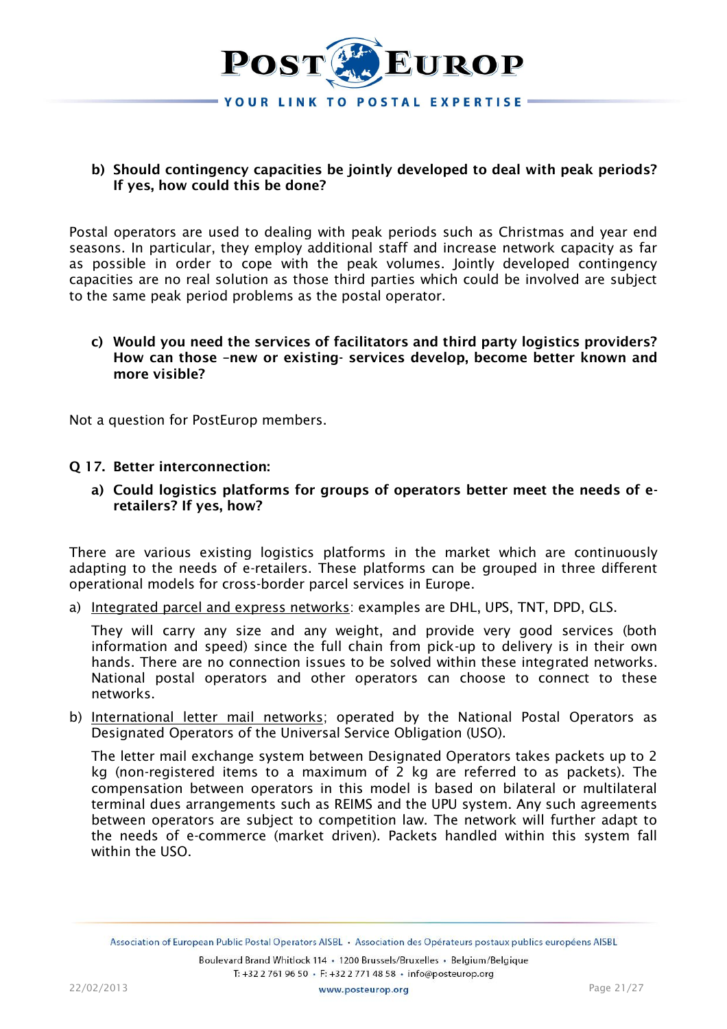

## **b) Should contingency capacities be jointly developed to deal with peak periods? If yes, how could this be done?**

Postal operators are used to dealing with peak periods such as Christmas and year end seasons. In particular, they employ additional staff and increase network capacity as far as possible in order to cope with the peak volumes. Jointly developed contingency capacities are no real solution as those third parties which could be involved are subject to the same peak period problems as the postal operator.

**c) Would you need the services of facilitators and third party logistics providers? How can those –new or existing- services develop, become better known and more visible?**

Not a question for PostEurop members.

#### **Q 17. Better interconnection:**

**a) Could logistics platforms for groups of operators better meet the needs of eretailers? If yes, how?**

There are various existing logistics platforms in the market which are continuously adapting to the needs of e-retailers. These platforms can be grouped in three different operational models for cross-border parcel services in Europe.

a) Integrated parcel and express networks: examples are DHL, UPS, TNT, DPD, GLS.

They will carry any size and any weight, and provide very good services (both information and speed) since the full chain from pick-up to delivery is in their own hands. There are no connection issues to be solved within these integrated networks. National postal operators and other operators can choose to connect to these networks.

b) International letter mail networks; operated by the National Postal Operators as Designated Operators of the Universal Service Obligation (USO).

The letter mail exchange system between Designated Operators takes packets up to 2 kg (non-registered items to a maximum of 2 kg are referred to as packets). The compensation between operators in this model is based on bilateral or multilateral terminal dues arrangements such as REIMS and the UPU system. Any such agreements between operators are subject to competition law. The network will further adapt to the needs of e-commerce (market driven). Packets handled within this system fall within the USO.

Association of European Public Postal Operators AISBL . Association des Opérateurs postaux publics européens AISBL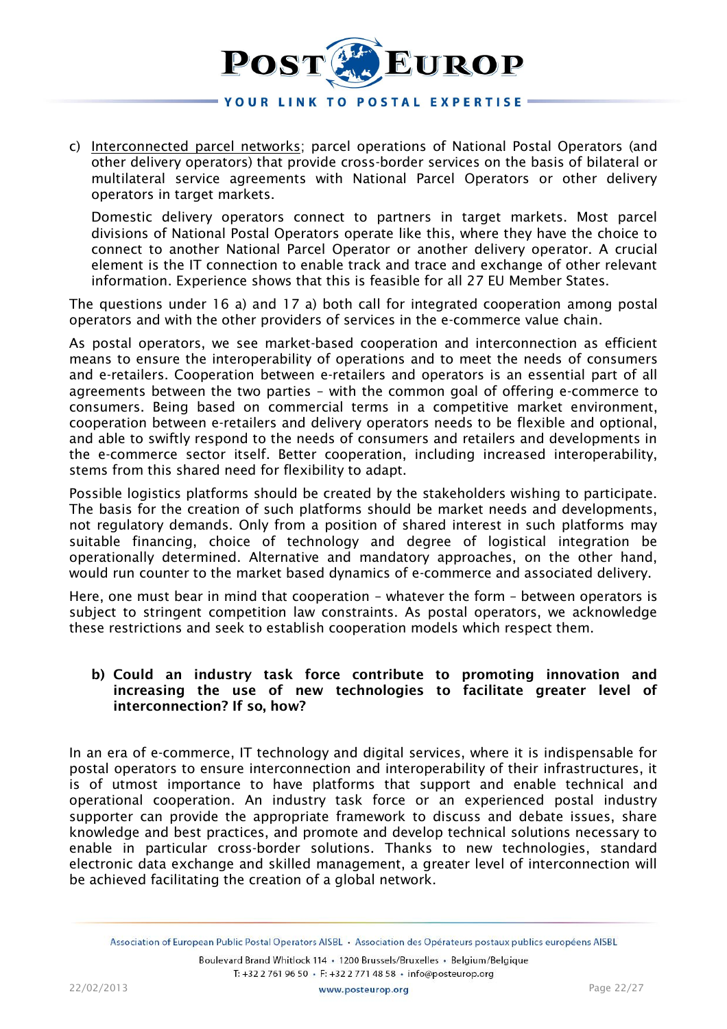

c) Interconnected parcel networks; parcel operations of National Postal Operators (and other delivery operators) that provide cross-border services on the basis of bilateral or multilateral service agreements with National Parcel Operators or other delivery operators in target markets.

Domestic delivery operators connect to partners in target markets. Most parcel divisions of National Postal Operators operate like this, where they have the choice to connect to another National Parcel Operator or another delivery operator. A crucial element is the IT connection to enable track and trace and exchange of other relevant information. Experience shows that this is feasible for all 27 EU Member States.

The questions under 16 a) and 17 a) both call for integrated cooperation among postal operators and with the other providers of services in the e-commerce value chain.

As postal operators, we see market-based cooperation and interconnection as efficient means to ensure the interoperability of operations and to meet the needs of consumers and e-retailers. Cooperation between e-retailers and operators is an essential part of all agreements between the two parties – with the common goal of offering e-commerce to consumers. Being based on commercial terms in a competitive market environment, cooperation between e-retailers and delivery operators needs to be flexible and optional, and able to swiftly respond to the needs of consumers and retailers and developments in the e-commerce sector itself. Better cooperation, including increased interoperability, stems from this shared need for flexibility to adapt.

Possible logistics platforms should be created by the stakeholders wishing to participate. The basis for the creation of such platforms should be market needs and developments, not regulatory demands. Only from a position of shared interest in such platforms may suitable financing, choice of technology and degree of logistical integration be operationally determined. Alternative and mandatory approaches, on the other hand, would run counter to the market based dynamics of e-commerce and associated delivery.

Here, one must bear in mind that cooperation – whatever the form – between operators is subject to stringent competition law constraints. As postal operators, we acknowledge these restrictions and seek to establish cooperation models which respect them.

# **b) Could an industry task force contribute to promoting innovation and increasing the use of new technologies to facilitate greater level of interconnection? If so, how?**

In an era of e-commerce, IT technology and digital services, where it is indispensable for postal operators to ensure interconnection and interoperability of their infrastructures, it is of utmost importance to have platforms that support and enable technical and operational cooperation. An industry task force or an experienced postal industry supporter can provide the appropriate framework to discuss and debate issues, share knowledge and best practices, and promote and develop technical solutions necessary to enable in particular cross-border solutions. Thanks to new technologies, standard electronic data exchange and skilled management, a greater level of interconnection will be achieved facilitating the creation of a global network.

Association of European Public Postal Operators AISBL . Association des Opérateurs postaux publics européens AISBL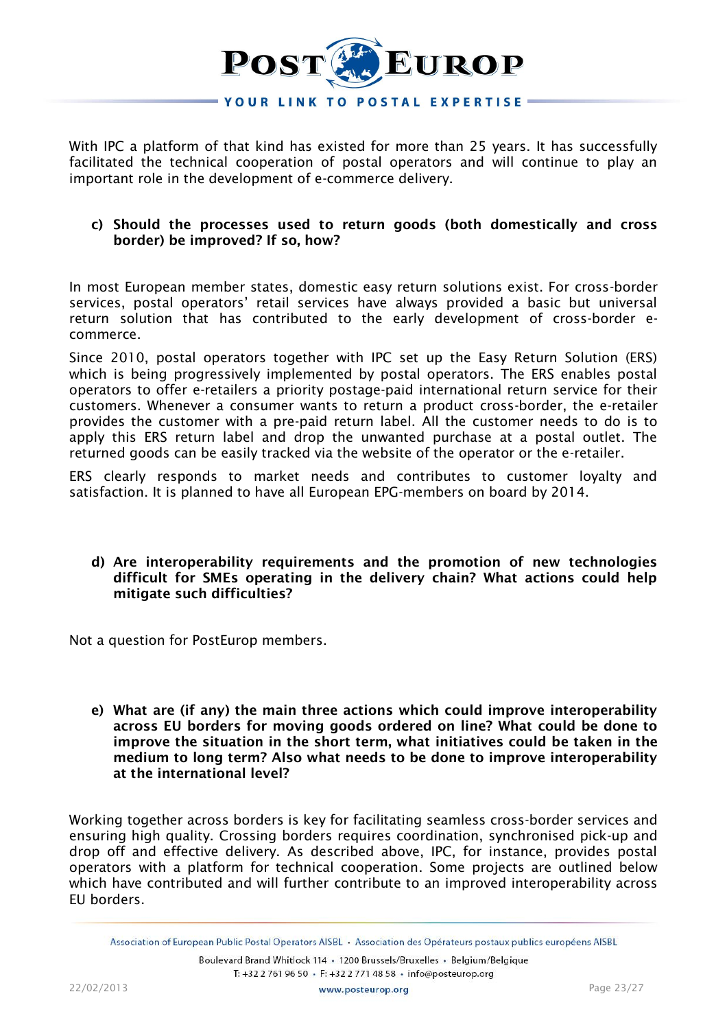

With IPC a platform of that kind has existed for more than 25 years. It has successfully facilitated the technical cooperation of postal operators and will continue to play an important role in the development of e-commerce delivery.

## **c) Should the processes used to return goods (both domestically and cross border) be improved? If so, how?**

In most European member states, domestic easy return solutions exist. For cross-border services, postal operators' retail services have always provided a basic but universal return solution that has contributed to the early development of cross-border ecommerce.

Since 2010, postal operators together with IPC set up the Easy Return Solution (ERS) which is being progressively implemented by postal operators. The ERS enables postal operators to offer e-retailers a priority postage-paid international return service for their customers. Whenever a consumer wants to return a product cross-border, the e-retailer provides the customer with a pre-paid return label. All the customer needs to do is to apply this ERS return label and drop the unwanted purchase at a postal outlet. The returned goods can be easily tracked via the website of the operator or the e-retailer.

ERS clearly responds to market needs and contributes to customer loyalty and satisfaction. It is planned to have all European EPG-members on board by 2014.

## **d) Are interoperability requirements and the promotion of new technologies difficult for SMEs operating in the delivery chain? What actions could help mitigate such difficulties?**

Not a question for PostEurop members.

**e) What are (if any) the main three actions which could improve interoperability across EU borders for moving goods ordered on line? What could be done to improve the situation in the short term, what initiatives could be taken in the medium to long term? Also what needs to be done to improve interoperability at the international level?**

Working together across borders is key for facilitating seamless cross-border services and ensuring high quality. Crossing borders requires coordination, synchronised pick-up and drop off and effective delivery. As described above, IPC, for instance, provides postal operators with a platform for technical cooperation. Some projects are outlined below which have contributed and will further contribute to an improved interoperability across EU borders.

Association of European Public Postal Operators AISBL . Association des Opérateurs postaux publics européens AISBL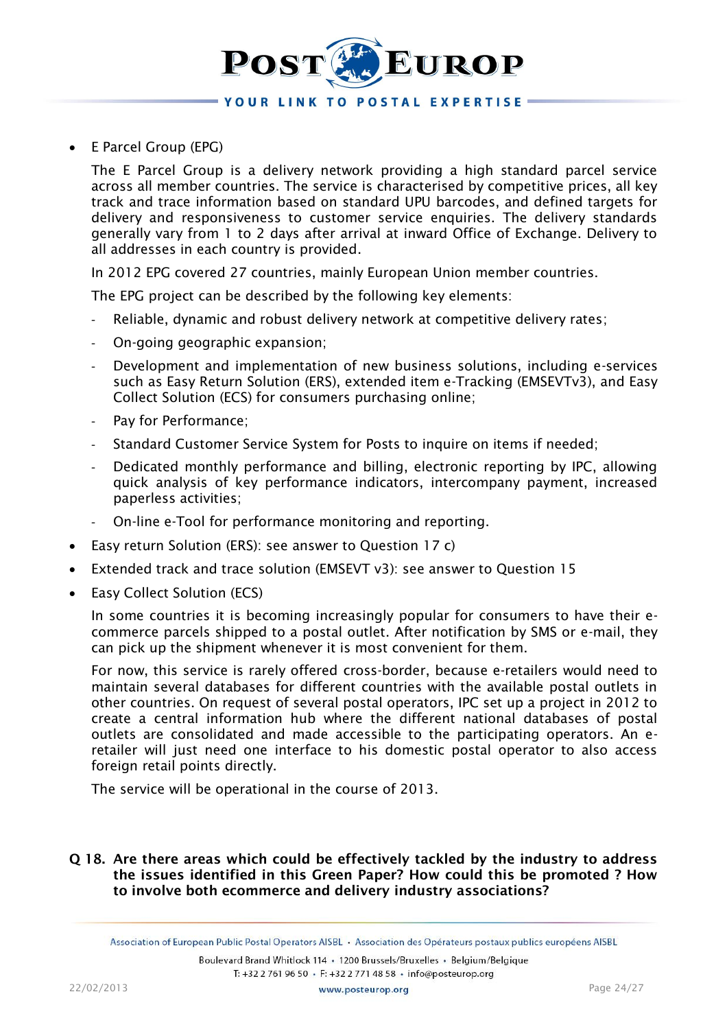

E Parcel Group (EPG)

The E Parcel Group is a delivery network providing a high standard parcel service across all member countries. The service is characterised by competitive prices, all key track and trace information based on standard UPU barcodes, and defined targets for delivery and responsiveness to customer service enquiries. The delivery standards generally vary from 1 to 2 days after arrival at inward Office of Exchange. Delivery to all addresses in each country is provided.

In 2012 EPG covered 27 countries, mainly European Union member countries.

The EPG project can be described by the following key elements:

- Reliable, dynamic and robust delivery network at competitive delivery rates;
- On-going geographic expansion;
- Development and implementation of new business solutions, including e-services such as Easy Return Solution (ERS), extended item e-Tracking (EMSEVTv3), and Easy Collect Solution (ECS) for consumers purchasing online;
- Pay for Performance;
- Standard Customer Service System for Posts to inquire on items if needed;
- Dedicated monthly performance and billing, electronic reporting by IPC, allowing quick analysis of key performance indicators, intercompany payment, increased paperless activities;
- On-line e-Tool for performance monitoring and reporting.
- Easy return Solution (ERS): see answer to Question 17 c)
- Extended track and trace solution (EMSEVT v3): see answer to Question 15
- Easy Collect Solution (ECS)

In some countries it is becoming increasingly popular for consumers to have their ecommerce parcels shipped to a postal outlet. After notification by SMS or e-mail, they can pick up the shipment whenever it is most convenient for them.

For now, this service is rarely offered cross-border, because e-retailers would need to maintain several databases for different countries with the available postal outlets in other countries. On request of several postal operators, IPC set up a project in 2012 to create a central information hub where the different national databases of postal outlets are consolidated and made accessible to the participating operators. An eretailer will just need one interface to his domestic postal operator to also access foreign retail points directly.

The service will be operational in the course of 2013.

## **Q 18. Are there areas which could be effectively tackled by the industry to address the issues identified in this Green Paper? How could this be promoted ? How to involve both ecommerce and delivery industry associations?**

Association of European Public Postal Operators AISBL . Association des Opérateurs postaux publics européens AISBL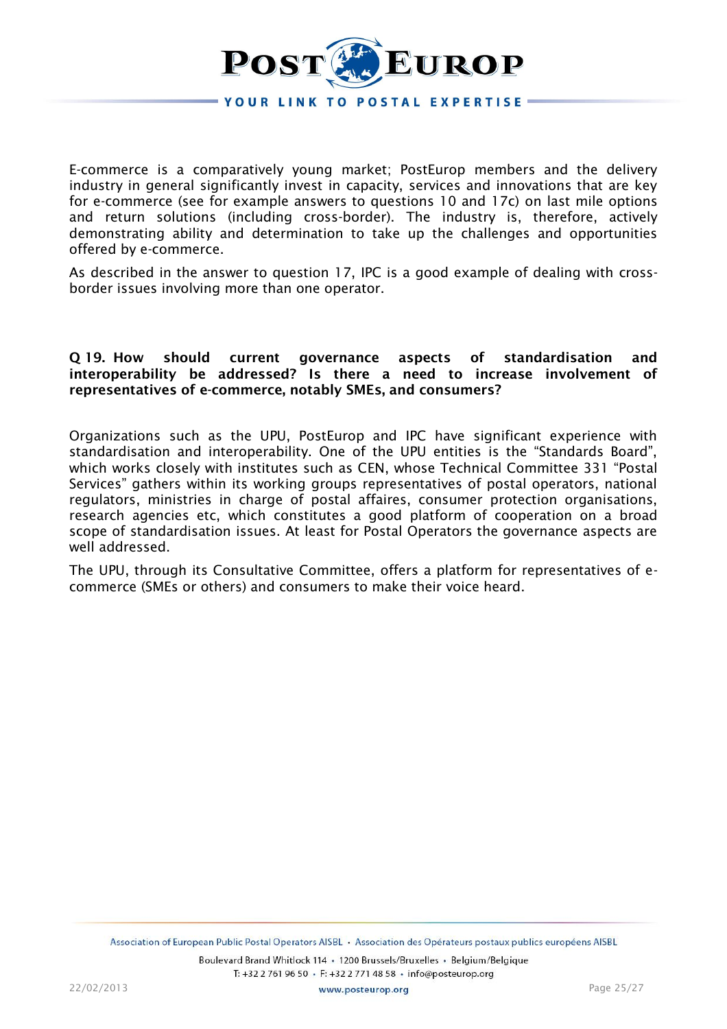

E-commerce is a comparatively young market; PostEurop members and the delivery industry in general significantly invest in capacity, services and innovations that are key for e-commerce (see for example answers to questions 10 and 17c) on last mile options and return solutions (including cross-border). The industry is, therefore, actively demonstrating ability and determination to take up the challenges and opportunities offered by e-commerce.

As described in the answer to question 17, IPC is a good example of dealing with crossborder issues involving more than one operator.

## **Q 19. How should current governance aspects of standardisation and interoperability be addressed? Is there a need to increase involvement of representatives of e-commerce, notably SMEs, and consumers?**

Organizations such as the UPU, PostEurop and IPC have significant experience with standardisation and interoperability. One of the UPU entities is the "Standards Board", which works closely with institutes such as CEN, whose Technical Committee 331 "Postal Services" gathers within its working groups representatives of postal operators, national regulators, ministries in charge of postal affaires, consumer protection organisations, research agencies etc, which constitutes a good platform of cooperation on a broad scope of standardisation issues. At least for Postal Operators the governance aspects are well addressed.

The UPU, through its Consultative Committee, offers a platform for representatives of ecommerce (SMEs or others) and consumers to make their voice heard.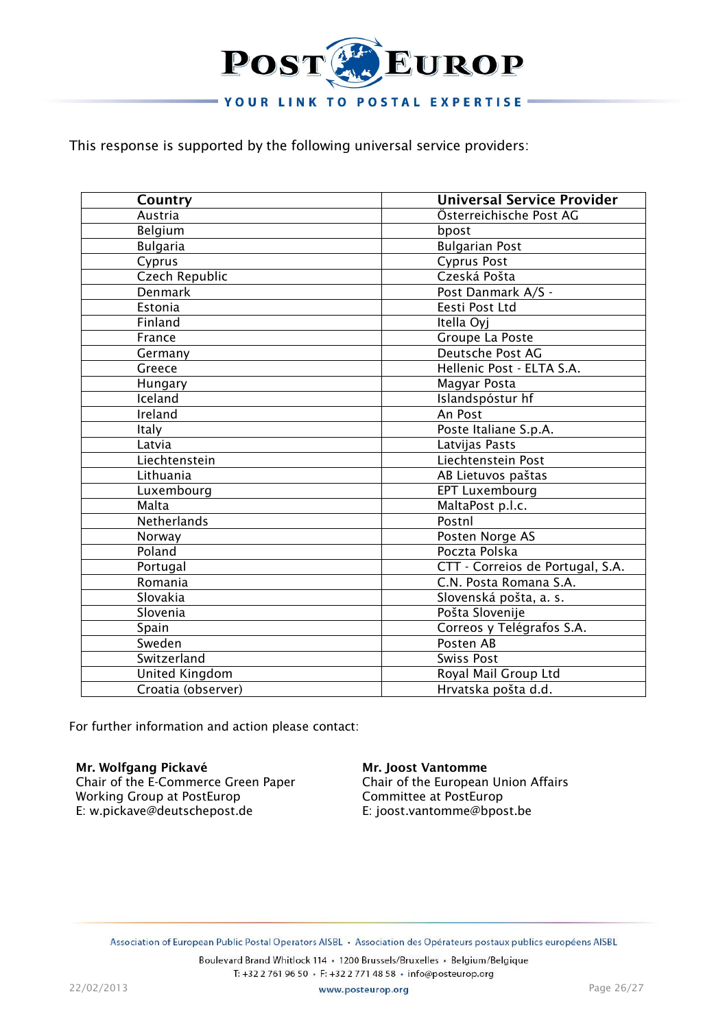

This response is supported by the following universal service providers:

| Country            | <b>Universal Service Provider</b> |
|--------------------|-----------------------------------|
| Austria            | Österreichische Post AG           |
| Belgium            | bpost                             |
| <b>Bulgaria</b>    | <b>Bulgarian Post</b>             |
| Cyprus             | <b>Cyprus Post</b>                |
| Czech Republic     | Czeská Pošta                      |
| Denmark            | Post Danmark A/S -                |
| Estonia            | Eesti Post Ltd                    |
| Finland            | Itella Oyj                        |
| France             | Groupe La Poste                   |
| Germany            | Deutsche Post AG                  |
| Greece             | Hellenic Post - ELTA S.A.         |
| Hungary            | Magyar Posta                      |
| Iceland            | Islandspóstur hf                  |
| Ireland            | An Post                           |
| <b>Italy</b>       | Poste Italiane S.p.A.             |
| Latvia             | Latvijas Pasts                    |
| Liechtenstein      | Liechtenstein Post                |
| Lithuania          | AB Lietuvos paštas                |
| Luxembourg         | <b>EPT Luxembourg</b>             |
| Malta              | MaltaPost p.l.c.                  |
| <b>Netherlands</b> | Postnl                            |
| Norway             | Posten Norge AS                   |
| Poland             | Poczta Polska                     |
| Portugal           | CTT - Correios de Portugal, S.A.  |
| Romania            | C.N. Posta Romana S.A.            |
| Slovakia           | Slovenská pošta, a. s.            |
| Slovenia           | Pošta Slovenije                   |
| Spain              | Correos y Telégrafos S.A.         |
| Sweden             | Posten AB                         |
| Switzerland        | <b>Swiss Post</b>                 |
| United Kingdom     | Royal Mail Group Ltd              |
| Croatia (observer) | Hrvatska pošta d.d.               |

For further information and action please contact:

**Mr. Wolfgang Pickavé** Chair of the E-Commerce Green Paper Working Group at PostEurop E: w.pickave@deutschepost.de

#### **Mr. Joost Vantomme**

Chair of the European Union Affairs Committee at PostEurop E: joost.vantomme@bpost.be

Association of European Public Postal Operators AISBL • Association des Opérateurs postaux publics européens AISBL